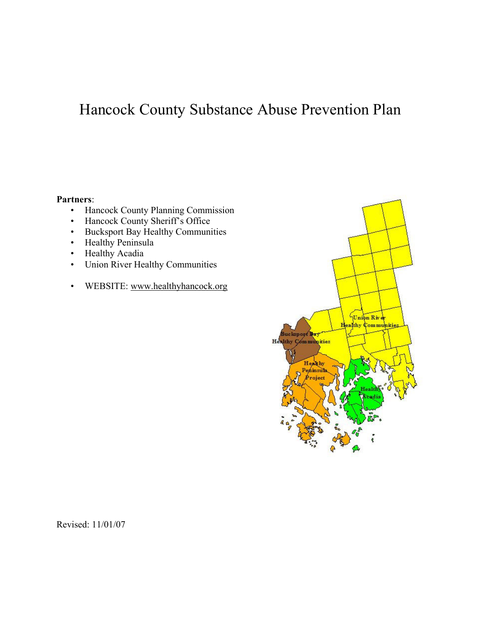# Hancock County Substance Abuse Prevention Plan

#### Partners:

- Hancock County Planning Commission
- Hancock County Sheriff's Office
- Bucksport Bay Healthy Communities
- Healthy Peninsula
- Healthy Acadia
- Union River Healthy Communities
- WEBSITE: www.healthyhancock.org



Revised: 11/01/07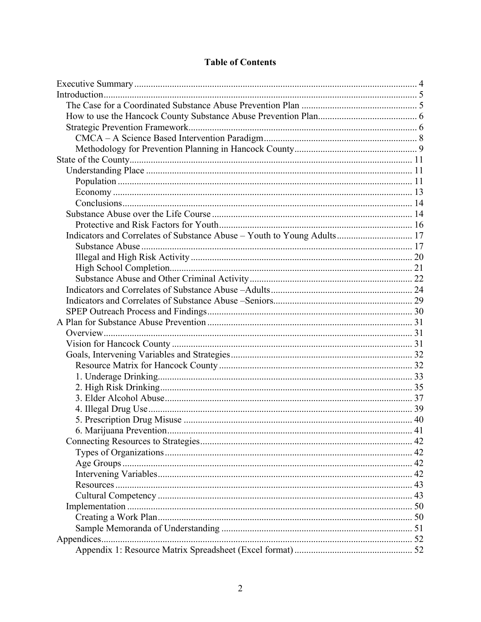## **Table of Contents**

| Indicators and Correlates of Substance Abuse - Youth to Young Adults 17 |  |
|-------------------------------------------------------------------------|--|
|                                                                         |  |
|                                                                         |  |
|                                                                         |  |
|                                                                         |  |
|                                                                         |  |
|                                                                         |  |
|                                                                         |  |
|                                                                         |  |
|                                                                         |  |
|                                                                         |  |
|                                                                         |  |
|                                                                         |  |
|                                                                         |  |
|                                                                         |  |
|                                                                         |  |
|                                                                         |  |
|                                                                         |  |
|                                                                         |  |
|                                                                         |  |
|                                                                         |  |
|                                                                         |  |
|                                                                         |  |
|                                                                         |  |
|                                                                         |  |
|                                                                         |  |
|                                                                         |  |
|                                                                         |  |
|                                                                         |  |
|                                                                         |  |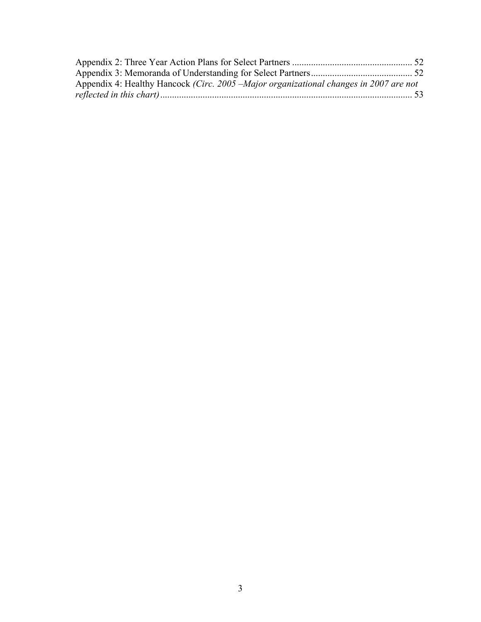| Appendix 4: Healthy Hancock (Circ. 2005 – Major organizational changes in 2007 are not |  |
|----------------------------------------------------------------------------------------|--|
|                                                                                        |  |
|                                                                                        |  |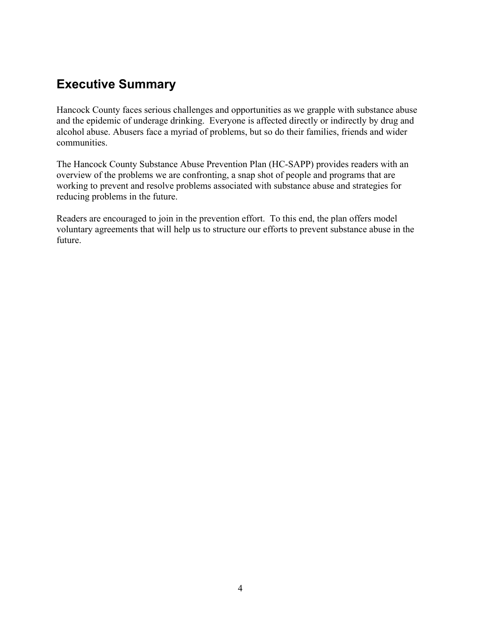# Executive Summary

Hancock County faces serious challenges and opportunities as we grapple with substance abuse and the epidemic of underage drinking. Everyone is affected directly or indirectly by drug and alcohol abuse. Abusers face a myriad of problems, but so do their families, friends and wider communities.

The Hancock County Substance Abuse Prevention Plan (HC-SAPP) provides readers with an overview of the problems we are confronting, a snap shot of people and programs that are working to prevent and resolve problems associated with substance abuse and strategies for reducing problems in the future.

Readers are encouraged to join in the prevention effort. To this end, the plan offers model voluntary agreements that will help us to structure our efforts to prevent substance abuse in the future.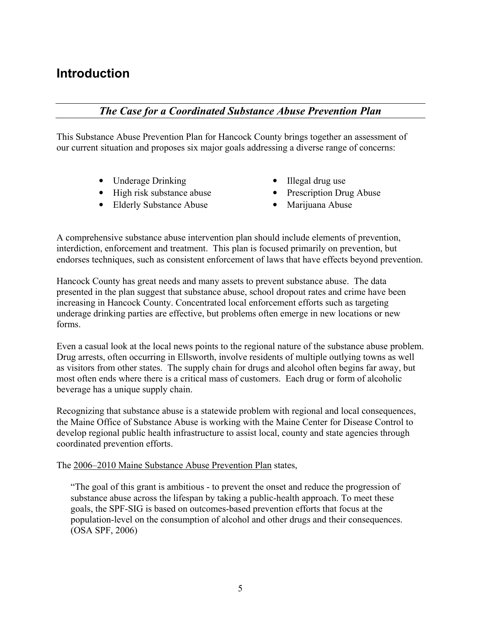# **Introduction**

## The Case for a Coordinated Substance Abuse Prevention Plan

This Substance Abuse Prevention Plan for Hancock County brings together an assessment of our current situation and proposes six major goals addressing a diverse range of concerns:

- 
- Underage Drinking Illegal drug use<br>• High risk substance abuse Prescription Dru
- Elderly Substance Abuse Marijuana Abuse
- 
- Prescription Drug Abuse
	-

A comprehensive substance abuse intervention plan should include elements of prevention, interdiction, enforcement and treatment. This plan is focused primarily on prevention, but endorses techniques, such as consistent enforcement of laws that have effects beyond prevention.

Hancock County has great needs and many assets to prevent substance abuse. The data presented in the plan suggest that substance abuse, school dropout rates and crime have been increasing in Hancock County. Concentrated local enforcement efforts such as targeting underage drinking parties are effective, but problems often emerge in new locations or new forms.

Even a casual look at the local news points to the regional nature of the substance abuse problem. Drug arrests, often occurring in Ellsworth, involve residents of multiple outlying towns as well as visitors from other states. The supply chain for drugs and alcohol often begins far away, but most often ends where there is a critical mass of customers. Each drug or form of alcoholic beverage has a unique supply chain.

Recognizing that substance abuse is a statewide problem with regional and local consequences, the Maine Office of Substance Abuse is working with the Maine Center for Disease Control to develop regional public health infrastructure to assist local, county and state agencies through coordinated prevention efforts.

The 2006–2010 Maine Substance Abuse Prevention Plan states,

"The goal of this grant is ambitious - to prevent the onset and reduce the progression of substance abuse across the lifespan by taking a public-health approach. To meet these goals, the SPF-SIG is based on outcomes-based prevention efforts that focus at the population-level on the consumption of alcohol and other drugs and their consequences. (OSA SPF, 2006)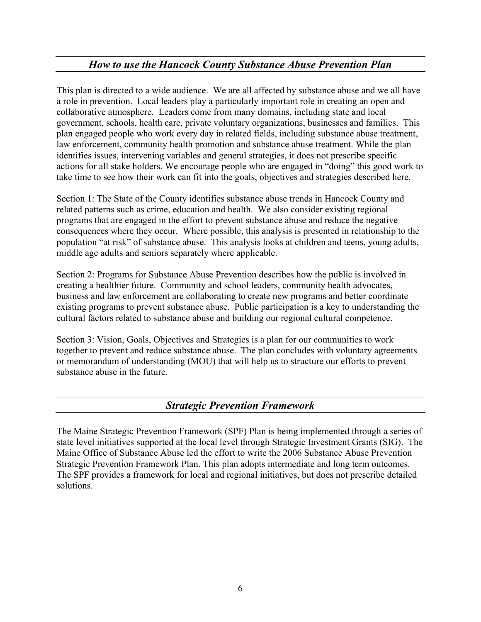# How to use the Hancock County Substance Abuse Prevention Plan

This plan is directed to a wide audience. We are all affected by substance abuse and we all have a role in prevention. Local leaders play a particularly important role in creating an open and collaborative atmosphere. Leaders come from many domains, including state and local government, schools, health care, private voluntary organizations, businesses and families. This plan engaged people who work every day in related fields, including substance abuse treatment, law enforcement, community health promotion and substance abuse treatment. While the plan identifies issues, intervening variables and general strategies, it does not prescribe specific actions for all stake holders. We encourage people who are engaged in "doing" this good work to take time to see how their work can fit into the goals, objectives and strategies described here.

Section 1: The State of the County identifies substance abuse trends in Hancock County and related patterns such as crime, education and health. We also consider existing regional programs that are engaged in the effort to prevent substance abuse and reduce the negative consequences where they occur. Where possible, this analysis is presented in relationship to the population "at risk" of substance abuse. This analysis looks at children and teens, young adults, middle age adults and seniors separately where applicable.

Section 2: Programs for Substance Abuse Prevention describes how the public is involved in creating a healthier future. Community and school leaders, community health advocates, business and law enforcement are collaborating to create new programs and better coordinate existing programs to prevent substance abuse. Public participation is a key to understanding the cultural factors related to substance abuse and building our regional cultural competence.

Section 3: Vision, Goals, Objectives and Strategies is a plan for our communities to work together to prevent and reduce substance abuse. The plan concludes with voluntary agreements or memorandum of understanding (MOU) that will help us to structure our efforts to prevent substance abuse in the future.

## Strategic Prevention Framework

The Maine Strategic Prevention Framework (SPF) Plan is being implemented through a series of state level initiatives supported at the local level through Strategic Investment Grants (SIG). The Maine Office of Substance Abuse led the effort to write the 2006 Substance Abuse Prevention Strategic Prevention Framework Plan. This plan adopts intermediate and long term outcomes. The SPF provides a framework for local and regional initiatives, but does not prescribe detailed solutions.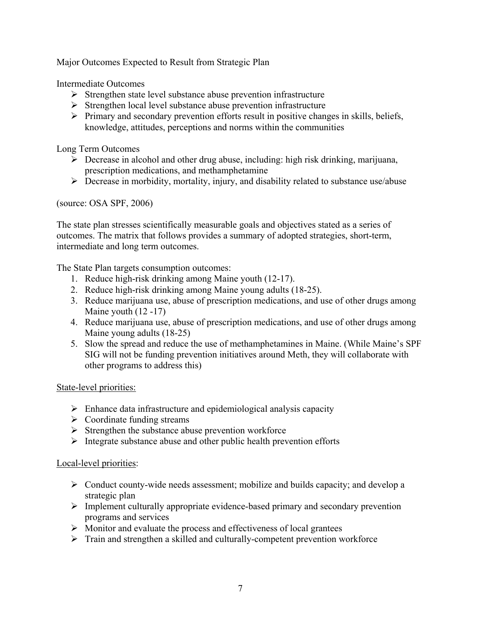Major Outcomes Expected to Result from Strategic Plan

Intermediate Outcomes

- $\triangleright$  Strengthen state level substance abuse prevention infrastructure
- $\triangleright$  Strengthen local level substance abuse prevention infrastructure
- $\triangleright$  Primary and secondary prevention efforts result in positive changes in skills, beliefs, knowledge, attitudes, perceptions and norms within the communities

Long Term Outcomes

- $\triangleright$  Decrease in alcohol and other drug abuse, including: high risk drinking, marijuana, prescription medications, and methamphetamine
- $\triangleright$  Decrease in morbidity, mortality, injury, and disability related to substance use/abuse

(source: OSA SPF, 2006)

The state plan stresses scientifically measurable goals and objectives stated as a series of outcomes. The matrix that follows provides a summary of adopted strategies, short-term, intermediate and long term outcomes.

The State Plan targets consumption outcomes:

- 1. Reduce high-risk drinking among Maine youth (12-17).
- 2. Reduce high-risk drinking among Maine young adults (18-25).
- 3. Reduce marijuana use, abuse of prescription medications, and use of other drugs among Maine youth (12 -17)
- 4. Reduce marijuana use, abuse of prescription medications, and use of other drugs among Maine young adults (18-25)
- 5. Slow the spread and reduce the use of methamphetamines in Maine. (While Maine's SPF SIG will not be funding prevention initiatives around Meth, they will collaborate with other programs to address this)

State-level priorities:

- $\triangleright$  Enhance data infrastructure and epidemiological analysis capacity
- $\triangleright$  Coordinate funding streams
- $\triangleright$  Strengthen the substance abuse prevention workforce
- $\triangleright$  Integrate substance abuse and other public health prevention efforts

#### Local-level priorities:

- $\triangleright$  Conduct county-wide needs assessment; mobilize and builds capacity; and develop a strategic plan
- $\triangleright$  Implement culturally appropriate evidence-based primary and secondary prevention programs and services
- $\triangleright$  Monitor and evaluate the process and effectiveness of local grantees
- $\triangleright$  Train and strengthen a skilled and culturally-competent prevention workforce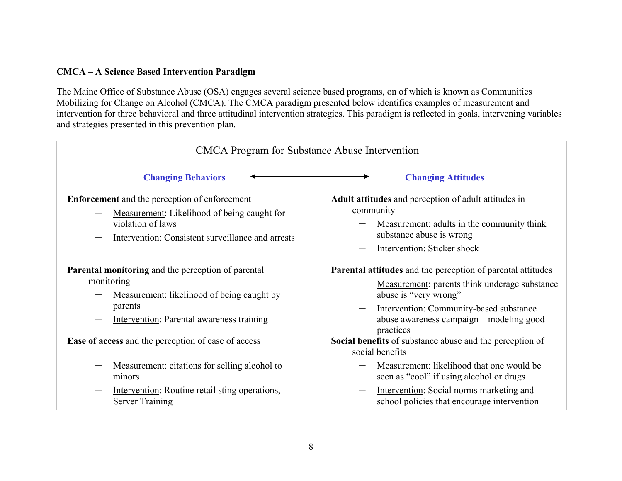#### CMCA – A Science Based Intervention Paradigm

The Maine Office of Substance Abuse (OSA) engages several science based programs, on of which is known as Communities Mobilizing for Change on Alcohol (CMCA). The CMCA paradigm presented below identifies examples of measurement and intervention for three behavioral and three attitudinal intervention strategies. This paradigm is reflected in goals, intervening variables and strategies presented in this prevention plan.

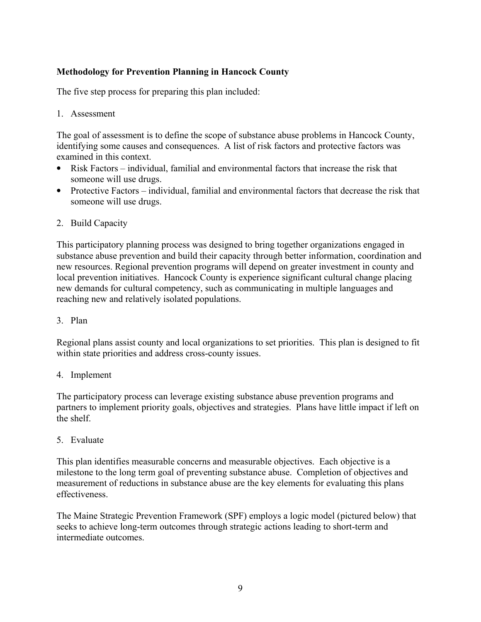#### Methodology for Prevention Planning in Hancock County

The five step process for preparing this plan included:

1. Assessment

The goal of assessment is to define the scope of substance abuse problems in Hancock County, identifying some causes and consequences. A list of risk factors and protective factors was examined in this context.

- Risk Factors individual, familial and environmental factors that increase the risk that someone will use drugs.
- Protective Factors individual, familial and environmental factors that decrease the risk that someone will use drugs.
- 2. Build Capacity

This participatory planning process was designed to bring together organizations engaged in substance abuse prevention and build their capacity through better information, coordination and new resources. Regional prevention programs will depend on greater investment in county and local prevention initiatives. Hancock County is experience significant cultural change placing new demands for cultural competency, such as communicating in multiple languages and reaching new and relatively isolated populations.

3. Plan

Regional plans assist county and local organizations to set priorities. This plan is designed to fit within state priorities and address cross-county issues.

#### 4. Implement

The participatory process can leverage existing substance abuse prevention programs and partners to implement priority goals, objectives and strategies. Plans have little impact if left on the shelf.

5. Evaluate

This plan identifies measurable concerns and measurable objectives. Each objective is a milestone to the long term goal of preventing substance abuse. Completion of objectives and measurement of reductions in substance abuse are the key elements for evaluating this plans effectiveness.

The Maine Strategic Prevention Framework (SPF) employs a logic model (pictured below) that seeks to achieve long-term outcomes through strategic actions leading to short-term and intermediate outcomes.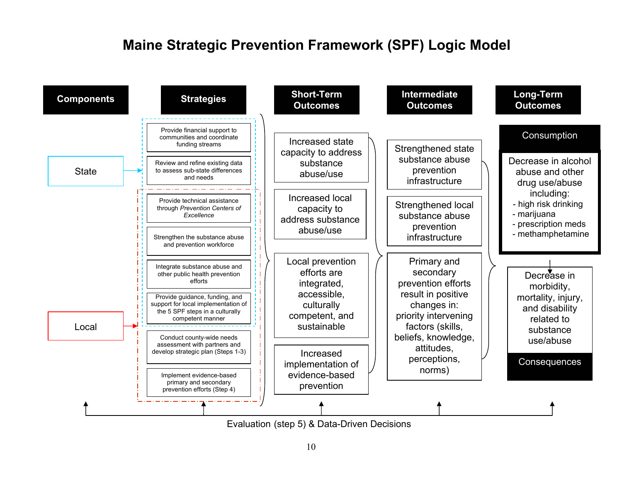# Maine Strategic Prevention Framework (SPF) Logic Model



Evaluation (step 5) & Data-Driven Decisions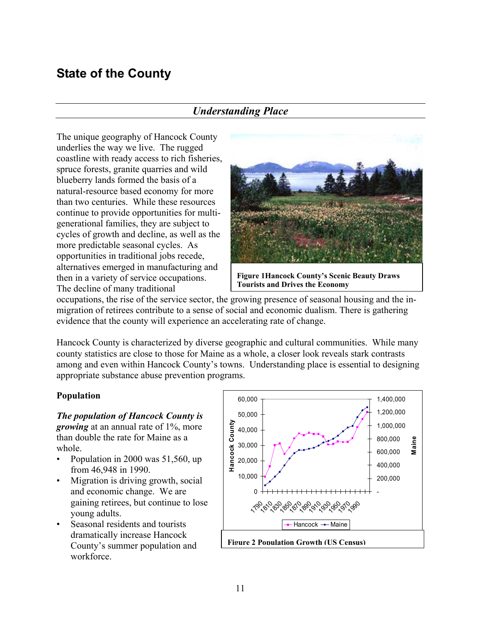# State of the County

# Understanding Place

The unique geography of Hancock County underlies the way we live. The rugged coastline with ready access to rich fisheries, spruce forests, granite quarries and wild blueberry lands formed the basis of a natural-resource based economy for more than two centuries. While these resources continue to provide opportunities for multigenerational families, they are subject to cycles of growth and decline, as well as the more predictable seasonal cycles. As opportunities in traditional jobs recede, alternatives emerged in manufacturing and then in a variety of service occupations. The decline of many traditional



Figure 1Hancock County's Scenic Beauty Draws Tourists and Drives the Economy

occupations, the rise of the service sector, the growing presence of seasonal housing and the inmigration of retirees contribute to a sense of social and economic dualism. There is gathering evidence that the county will experience an accelerating rate of change.

Hancock County is characterized by diverse geographic and cultural communities. While many county statistics are close to those for Maine as a whole, a closer look reveals stark contrasts among and even within Hancock County's towns. Understanding place is essential to designing appropriate substance abuse prevention programs.

#### Population

The population of Hancock County is *growing* at an annual rate of 1%, more than double the rate for Maine as a whole.

- Population in 2000 was 51,560, up from 46,948 in 1990.
- Migration is driving growth, social and economic change. We are gaining retirees, but continue to lose young adults.
- Seasonal residents and tourists dramatically increase Hancock County's summer population and workforce.

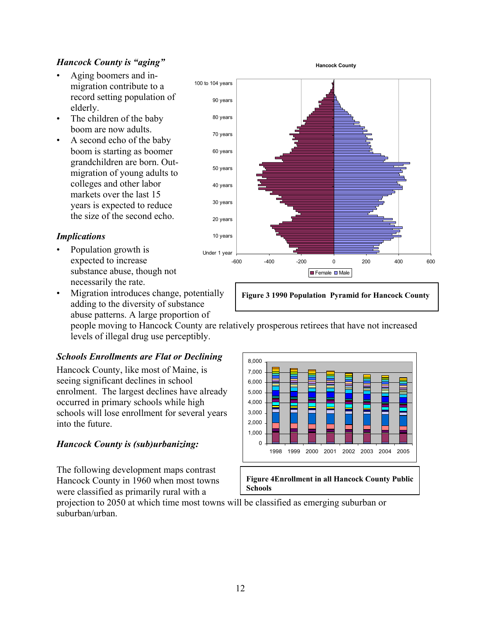#### Hancock County is "aging"

- Aging boomers and inmigration contribute to a record setting population of elderly.
- The children of the baby boom are now adults.
- A second echo of the baby boom is starting as boomer grandchildren are born. Outmigration of young adults to colleges and other labor markets over the last 15 years is expected to reduce the size of the second echo.

#### Implications

- Population growth is expected to increase substance abuse, though not necessarily the rate.
- Migration introduces change, potentially adding to the diversity of substance abuse patterns. A large proportion of

people moving to Hancock County are relatively prosperous retirees that have not increased levels of illegal drug use perceptibly.

#### Schools Enrollments are Flat or Declining

Hancock County, like most of Maine, is seeing significant declines in school enrolment. The largest declines have already occurred in primary schools while high schools will lose enrollment for several years into the future.

#### Hancock County is (sub)urbanizing:

The following development maps contrast Hancock County in 1960 when most towns were classified as primarily rural with a



Figure 3 1990 Population Pyramid for Hancock County

0 1,000 2,000 3,000 4,000 5,000 6,000 7,000 8,000 1998 1999 2000 2001 2002 2003 2004 2005

#### Figure 4Enrollment in all Hancock County Public Schools

projection to 2050 at which time most towns will be classified as emerging suburban or suburban/urban.

Hancock County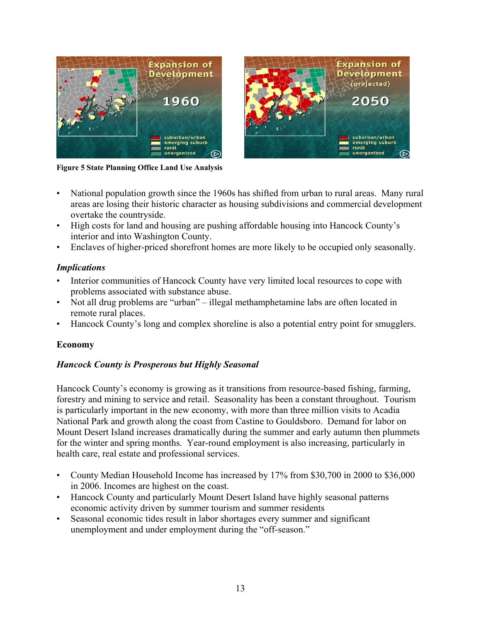

Figure 5 State Planning Office Land Use Analysis

- National population growth since the 1960s has shifted from urban to rural areas. Many rural areas are losing their historic character as housing subdivisions and commercial development overtake the countryside.
- High costs for land and housing are pushing affordable housing into Hancock County's interior and into Washington County.
- Enclaves of higher-priced shorefront homes are more likely to be occupied only seasonally.

#### **Implications**

- Interior communities of Hancock County have very limited local resources to cope with problems associated with substance abuse.
- Not all drug problems are "urban" illegal methamphetamine labs are often located in remote rural places.
- Hancock County's long and complex shoreline is also a potential entry point for smugglers.

#### Economy

#### Hancock County is Prosperous but Highly Seasonal

Hancock County's economy is growing as it transitions from resource-based fishing, farming, forestry and mining to service and retail. Seasonality has been a constant throughout. Tourism is particularly important in the new economy, with more than three million visits to Acadia National Park and growth along the coast from Castine to Gouldsboro. Demand for labor on Mount Desert Island increases dramatically during the summer and early autumn then plummets for the winter and spring months. Year-round employment is also increasing, particularly in health care, real estate and professional services.

- County Median Household Income has increased by 17% from \$30,700 in 2000 to \$36,000 in 2006. Incomes are highest on the coast.
- Hancock County and particularly Mount Desert Island have highly seasonal patterns economic activity driven by summer tourism and summer residents
- Seasonal economic tides result in labor shortages every summer and significant unemployment and under employment during the "off-season."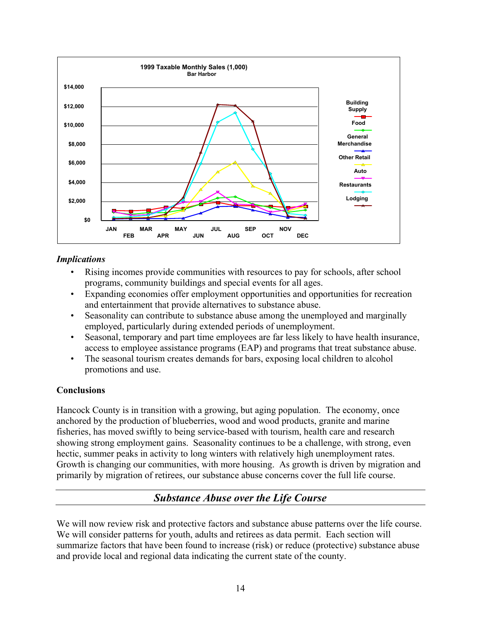

#### Implications

- Rising incomes provide communities with resources to pay for schools, after school programs, community buildings and special events for all ages.
- Expanding economies offer employment opportunities and opportunities for recreation and entertainment that provide alternatives to substance abuse.
- Seasonality can contribute to substance abuse among the unemployed and marginally employed, particularly during extended periods of unemployment.
- Seasonal, temporary and part time employees are far less likely to have health insurance, access to employee assistance programs (EAP) and programs that treat substance abuse.
- The seasonal tourism creates demands for bars, exposing local children to alcohol promotions and use.

#### Conclusions

Hancock County is in transition with a growing, but aging population. The economy, once anchored by the production of blueberries, wood and wood products, granite and marine fisheries, has moved swiftly to being service-based with tourism, health care and research showing strong employment gains. Seasonality continues to be a challenge, with strong, even hectic, summer peaks in activity to long winters with relatively high unemployment rates. Growth is changing our communities, with more housing. As growth is driven by migration and primarily by migration of retirees, our substance abuse concerns cover the full life course.

# Substance Abuse over the Life Course

We will now review risk and protective factors and substance abuse patterns over the life course. We will consider patterns for youth, adults and retirees as data permit. Each section will summarize factors that have been found to increase (risk) or reduce (protective) substance abuse and provide local and regional data indicating the current state of the county.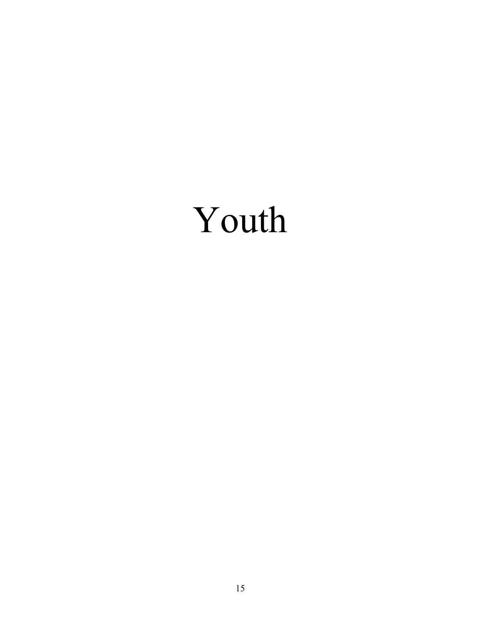# Youth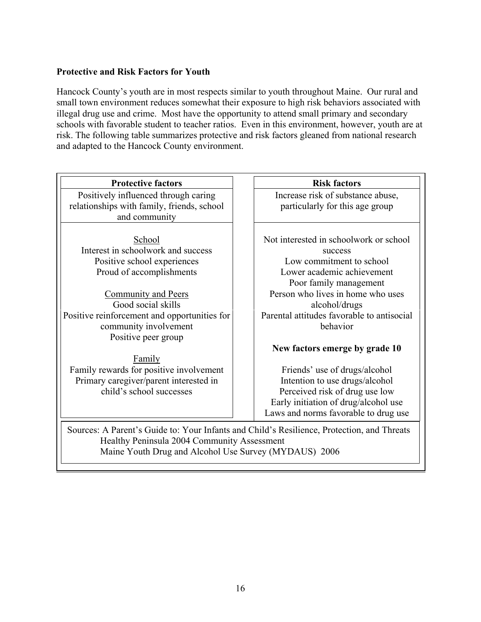#### Protective and Risk Factors for Youth

Hancock County's youth are in most respects similar to youth throughout Maine. Our rural and small town environment reduces somewhat their exposure to high risk behaviors associated with illegal drug use and crime. Most have the opportunity to attend small primary and secondary schools with favorable student to teacher ratios. Even in this environment, however, youth are at risk. The following table summarizes protective and risk factors gleaned from national research and adapted to the Hancock County environment.

| Increase risk of substance abuse,<br>particularly for this age group                       |
|--------------------------------------------------------------------------------------------|
|                                                                                            |
|                                                                                            |
|                                                                                            |
|                                                                                            |
| Not interested in schoolwork or school                                                     |
|                                                                                            |
|                                                                                            |
| Lower academic achievement                                                                 |
|                                                                                            |
| Person who lives in home who uses                                                          |
|                                                                                            |
| Parental attitudes favorable to antisocial                                                 |
|                                                                                            |
|                                                                                            |
| New factors emerge by grade 10                                                             |
|                                                                                            |
| Friends' use of drugs/alcohol                                                              |
| Intention to use drugs/alcohol                                                             |
| Perceived risk of drug use low                                                             |
| Early initiation of drug/alcohol use                                                       |
| Laws and norms favorable to drug use                                                       |
| Sources: A Parent's Guide to: Your Infants and Child's Resilience, Protection, and Threats |
|                                                                                            |
|                                                                                            |
| Low commitment to school                                                                   |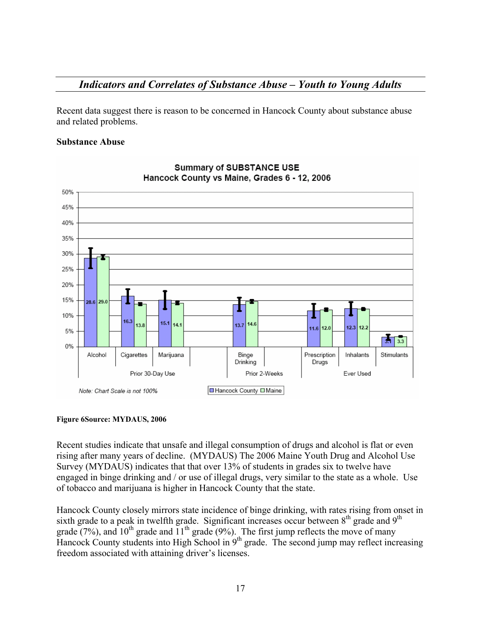## Indicators and Correlates of Substance Abuse – Youth to Young Adults

Recent data suggest there is reason to be concerned in Hancock County about substance abuse and related problems.

#### Substance Abuse



#### **Summary of SUBSTANCE USE** Hancock County vs Maine, Grades 6 - 12, 2006

#### Figure 6Source: MYDAUS, 2006

Recent studies indicate that unsafe and illegal consumption of drugs and alcohol is flat or even rising after many years of decline. (MYDAUS) The 2006 Maine Youth Drug and Alcohol Use Survey (MYDAUS) indicates that that over 13% of students in grades six to twelve have engaged in binge drinking and / or use of illegal drugs, very similar to the state as a whole. Use of tobacco and marijuana is higher in Hancock County that the state.

Hancock County closely mirrors state incidence of binge drinking, with rates rising from onset in sixth grade to a peak in twelfth grade. Significant increases occur between  $8<sup>th</sup>$  grade and  $9<sup>th</sup>$ grade (7%), and 10<sup>th</sup> grade and  $11<sup>th</sup>$  grade (9%). The first jump reflects the move of many Hancock County students into High School in  $9<sup>th</sup>$  grade. The second jump may reflect increasing freedom associated with attaining driver's licenses.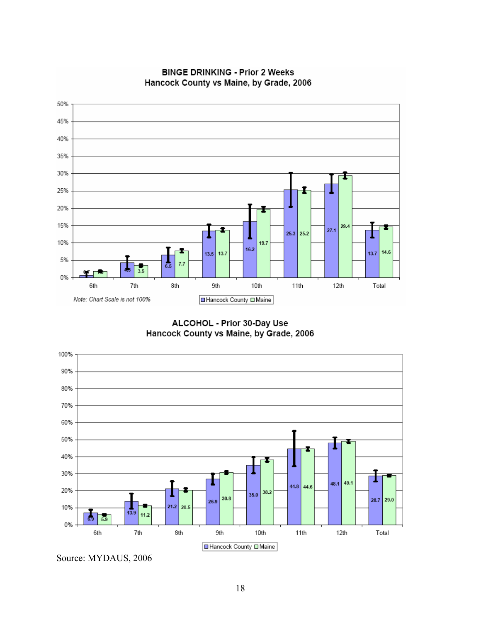

**BINGE DRINKING - Prior 2 Weeks** Hancock County vs Maine, by Grade, 2006

ALCOHOL - Prior 30-Day Use Hancock County vs Maine, by Grade, 2006



Source: MYDAUS, 2006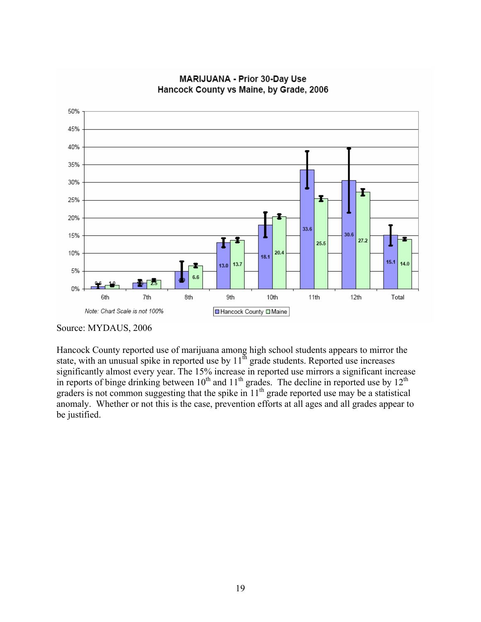

**MARIJUANA - Prior 30-Day Use** Hancock County vs Maine, by Grade, 2006

Hancock County reported use of marijuana among high school students appears to mirror the state, with an unusual spike in reported use by  $11^{th}$  grade students. Reported use increases significantly almost every year. The 15% increase in reported use mirrors a significant increase in reports of binge drinking between  $10^{th}$  and  $11^{th}$  grades. The decline in reported use by  $12^{th}$ graders is not common suggesting that the spike in  $11<sup>th</sup>$  grade reported use may be a statistical anomaly. Whether or not this is the case, prevention efforts at all ages and all grades appear to be justified.

Source: MYDAUS, 2006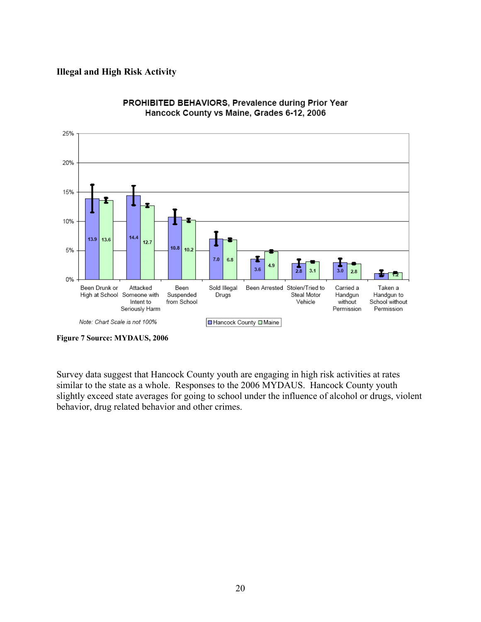#### Illegal and High Risk Activity



PROHIBITED BEHAVIORS, Prevalence during Prior Year Hancock County vs Maine, Grades 6-12, 2006

Survey data suggest that Hancock County youth are engaging in high risk activities at rates similar to the state as a whole. Responses to the 2006 MYDAUS. Hancock County youth slightly exceed state averages for going to school under the influence of alcohol or drugs, violent behavior, drug related behavior and other crimes.

Figure 7 Source: MYDAUS, 2006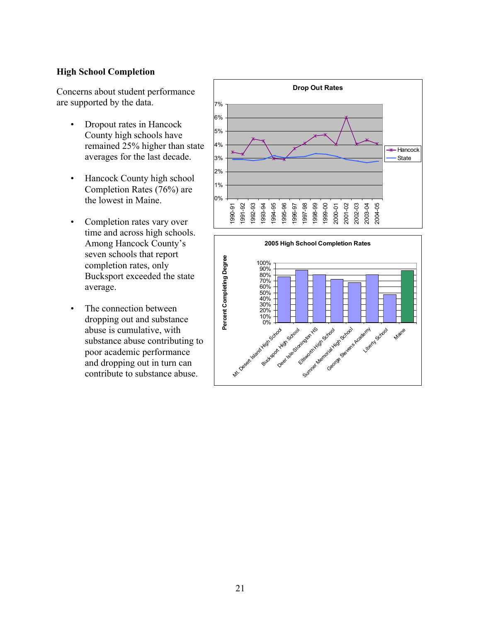#### High School Completion

Concerns about student performance are supported by the data.

- Dropout rates in Hancock County high schools have remained 25% higher than state averages for the last decade.
- Hancock County high school Completion Rates (76%) are the lowest in Maine.
- Completion rates vary over time and across high schools. Among Hancock County's seven schools that report completion rates, only Bucksport exceeded the state average.
- The connection between dropping out and substance abuse is cumulative, with substance abuse contributing to poor academic performance and dropping out in turn can contribute to substance abuse.



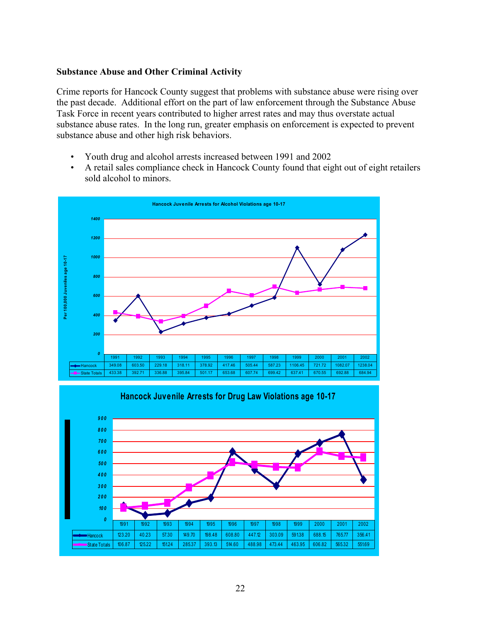#### Substance Abuse and Other Criminal Activity

Crime reports for Hancock County suggest that problems with substance abuse were rising over the past decade. Additional effort on the part of law enforcement through the Substance Abuse Task Force in recent years contributed to higher arrest rates and may thus overstate actual substance abuse rates. In the long run, greater emphasis on enforcement is expected to prevent substance abuse and other high risk behaviors.

- Youth drug and alcohol arrests increased between 1991 and 2002
- A retail sales compliance check in Hancock County found that eight out of eight retailers sold alcohol to minors.



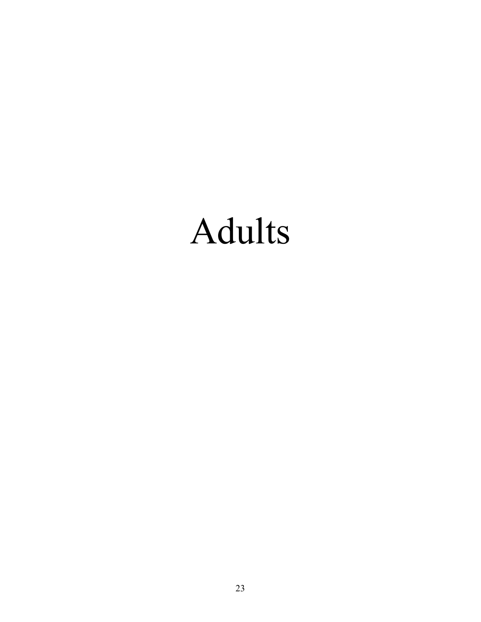# Adults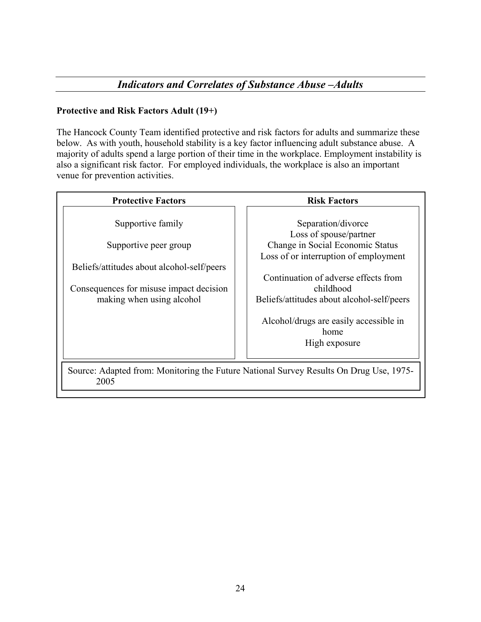### Protective and Risk Factors Adult (19+)

The Hancock County Team identified protective and risk factors for adults and summarize these below. As with youth, household stability is a key factor influencing adult substance abuse. A majority of adults spend a large portion of their time in the workplace. Employment instability is also a significant risk factor. For employed individuals, the workplace is also an important venue for prevention activities.

| <b>Protective Factors</b>                                                                                                                                        | <b>Risk Factors</b>                                                                                                                                                                                                                                                                             |  |  |  |  |  |  |  |
|------------------------------------------------------------------------------------------------------------------------------------------------------------------|-------------------------------------------------------------------------------------------------------------------------------------------------------------------------------------------------------------------------------------------------------------------------------------------------|--|--|--|--|--|--|--|
| Supportive family<br>Supportive peer group<br>Beliefs/attitudes about alcohol-self/peers<br>Consequences for misuse impact decision<br>making when using alcohol | Separation/divorce<br>Loss of spouse/partner<br>Change in Social Economic Status<br>Loss of or interruption of employment<br>Continuation of adverse effects from<br>childhood<br>Beliefs/attitudes about alcohol-self/peers<br>Alcohol/drugs are easily accessible in<br>home<br>High exposure |  |  |  |  |  |  |  |
| Source: Adapted from: Monitoring the Future National Survey Results On Drug Use, 1975–<br>2005                                                                   |                                                                                                                                                                                                                                                                                                 |  |  |  |  |  |  |  |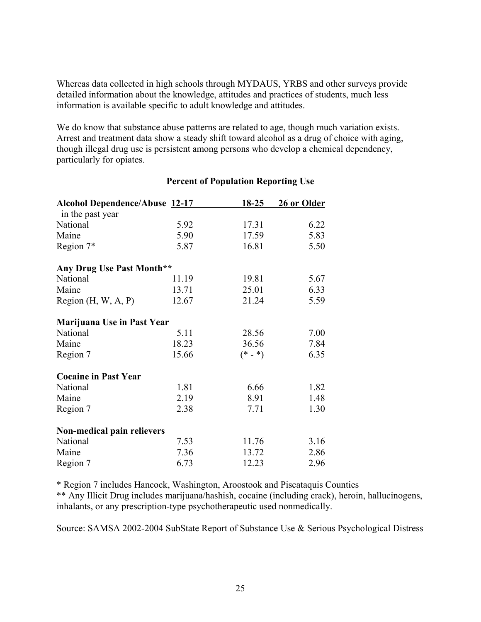Whereas data collected in high schools through MYDAUS, YRBS and other surveys provide detailed information about the knowledge, attitudes and practices of students, much less information is available specific to adult knowledge and attitudes.

We do know that substance abuse patterns are related to age, though much variation exists. Arrest and treatment data show a steady shift toward alcohol as a drug of choice with aging, though illegal drug use is persistent among persons who develop a chemical dependency, particularly for opiates.

| <b>Alcohol Dependence/Abuse 12-17</b> |       | $18 - 25$ | 26 or Older |
|---------------------------------------|-------|-----------|-------------|
| in the past year                      |       |           |             |
| National                              | 5.92  | 17.31     | 6.22        |
| Maine                                 | 5.90  | 17.59     | 5.83        |
| Region 7*                             | 5.87  | 16.81     | 5.50        |
| Any Drug Use Past Month**             |       |           |             |
| National                              | 11.19 | 19.81     | 5.67        |
| Maine                                 | 13.71 | 25.01     | 6.33        |
| Region $(H, W, A, P)$                 | 12.67 | 21.24     | 5.59        |
| Marijuana Use in Past Year            |       |           |             |
| National                              | 5.11  | 28.56     | 7.00        |
| Maine                                 | 18.23 | 36.56     | 7.84        |
| Region 7                              | 15.66 | $(* - *)$ | 6.35        |
| <b>Cocaine in Past Year</b>           |       |           |             |
| National                              | 1.81  | 6.66      | 1.82        |
| Maine                                 | 2.19  | 8.91      | 1.48        |
| Region 7                              | 2.38  | 7.71      | 1.30        |
| Non-medical pain relievers            |       |           |             |
| National                              | 7.53  | 11.76     | 3.16        |
| Maine                                 | 7.36  | 13.72     | 2.86        |
| Region 7                              | 6.73  | 12.23     | 2.96        |

#### Percent of Population Reporting Use

\* Region 7 includes Hancock, Washington, Aroostook and Piscataquis Counties

\*\* Any Illicit Drug includes marijuana/hashish, cocaine (including crack), heroin, hallucinogens, inhalants, or any prescription-type psychotherapeutic used nonmedically.

Source: SAMSA 2002-2004 SubState Report of Substance Use & Serious Psychological Distress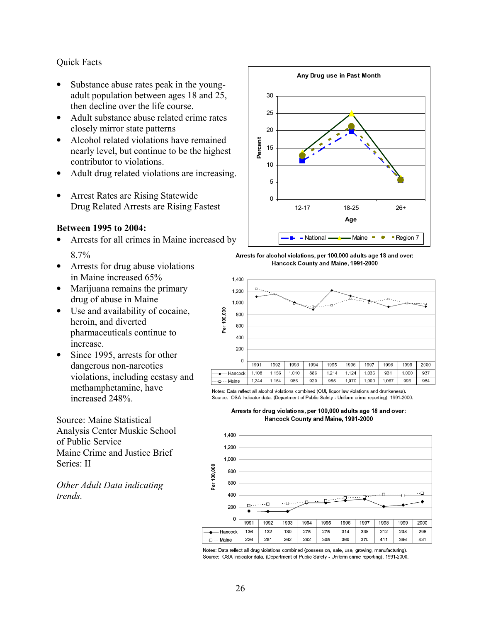#### Quick Facts

- Substance abuse rates peak in the youngadult population between ages 18 and 25, then decline over the life course.
- Adult substance abuse related crime rates closely mirror state patterns
- Alcohol related violations have remained nearly level, but continue to be the highest contributor to violations.
- Adult drug related violations are increasing.
- Arrest Rates are Rising Statewide Drug Related Arrests are Rising Fastest

#### Between 1995 to 2004:

- Arrests for all crimes in Maine increased by 8.7%
- Arrests for drug abuse violations in Maine increased 65%
- Marijuana remains the primary drug of abuse in Maine
- Use and availability of cocaine, heroin, and diverted pharmaceuticals continue to increase.
- Since 1995, arrests for other dangerous non-narcotics violations, including ecstasy and methamphetamine, have increased 248%.

Source: Maine Statistical Analysis Center Muskie School of Public Service Maine Crime and Justice Brief Series: II

Other Adult Data indicating trends.



Arrests for alcohol violations, per 100,000 adults age 18 and over: Hancock County and Maine, 1991-2000



Notes: Data reflect all alcohol violations combined (OUI, liquor law violations and drunkeness). Source: OSA Indicator data. (Department of Public Safety - Uniform crime reporting), 1991-2000.

Arrests for drug violations, per 100,000 adults age 18 and over: Hancock County and Maine, 1991-2000



Notes: Data reflect all drug violations combined (possession, sale, use, growing, manufacturing). Source: OSA Indicator data. (Department of Public Safety - Uniform crime reporting), 1991-2000.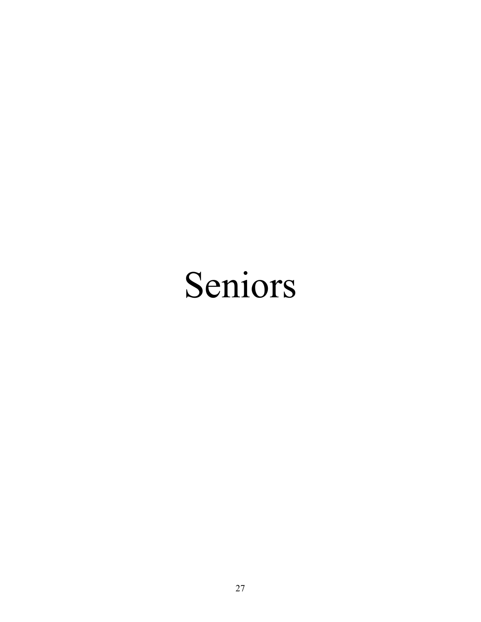# Seniors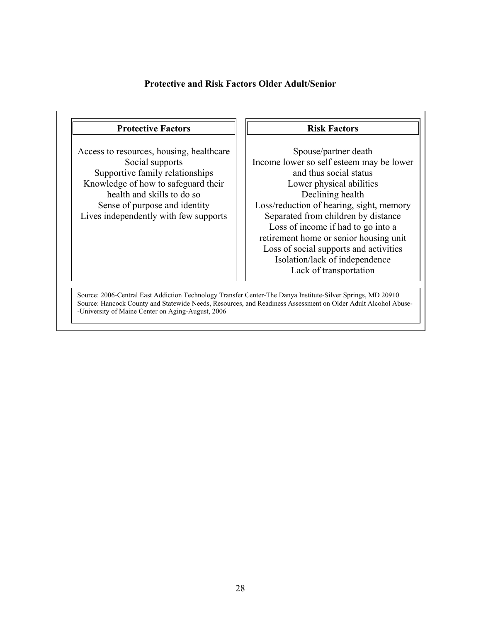#### Protective and Risk Factors Older Adult/Senior

#### Protective Factors

Access to resources, housing, healthcare Social supports Supportive family relationships Knowledge of how to safeguard their health and skills to do so Sense of purpose and identity Lives independently with few supports

#### Risk Factors

Spouse/partner death Income lower so self esteem may be lower and thus social status Lower physical abilities Declining health Loss/reduction of hearing, sight, memory Separated from children by distance Loss of income if had to go into a retirement home or senior housing unit Loss of social supports and activities Isolation/lack of independence Lack of transportation

Source: 2006-Central East Addiction Technology Transfer Center-The Danya Institute-Silver Springs, MD 20910 Source: Hancock County and Statewide Needs, Resources, and Readiness Assessment on Older Adult Alcohol Abuse- -University of Maine Center on Aging-August, 2006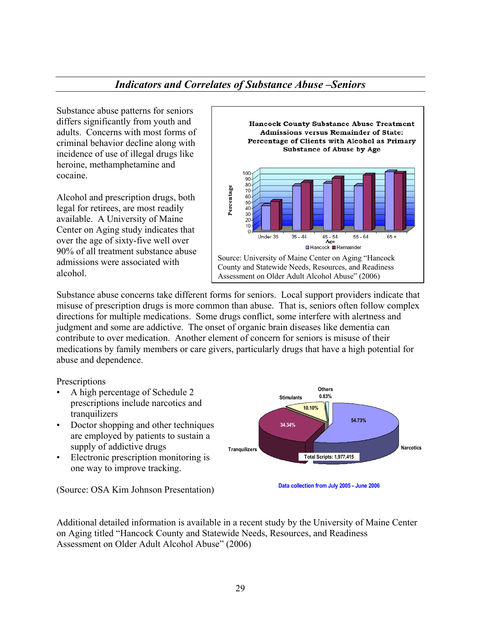## Indicators and Correlates of Substance Abuse –Seniors

Substance abuse patterns for seniors differs significantly from youth and adults. Concerns with most forms of criminal behavior decline along with incidence of use of illegal drugs like heroine, methamphetamine and cocaine.

Alcohol and prescription drugs, both legal for retirees, are most readily available. A University of Maine Center on Aging study indicates that over the age of sixty-five well over 90% of all treatment substance abuse admissions were associated with alcohol.



Substance abuse concerns take different forms for seniors. Local support providers indicate that misuse of prescription drugs is more common than abuse. That is, seniors often follow complex directions for multiple medications. Some drugs conflict, some interfere with alertness and judgment and some are addictive. The onset of organic brain diseases like dementia can contribute to over medication. Another element of concern for seniors is misuse of their medications by family members or care givers, particularly drugs that have a high potential for abuse and dependence.

**Prescriptions** 

- A high percentage of Schedule 2 prescriptions include narcotics and tranquilizers
- Doctor shopping and other techniques are employed by patients to sustain a supply of addictive drugs
- Electronic prescription monitoring is one way to improve tracking.

**Others** 0.83% **Tranquilizers Narcotics Narcotics** Stimulants Total Scripts: 1,977,415 54.73% 34.34% 10.10%

(Source: OSA Kim Johnson Presentation)

Data collection from July 2005 - June 2006

Additional detailed information is available in a recent study by the University of Maine Center on Aging titled "Hancock County and Statewide Needs, Resources, and Readiness Assessment on Older Adult Alcohol Abuse" (2006)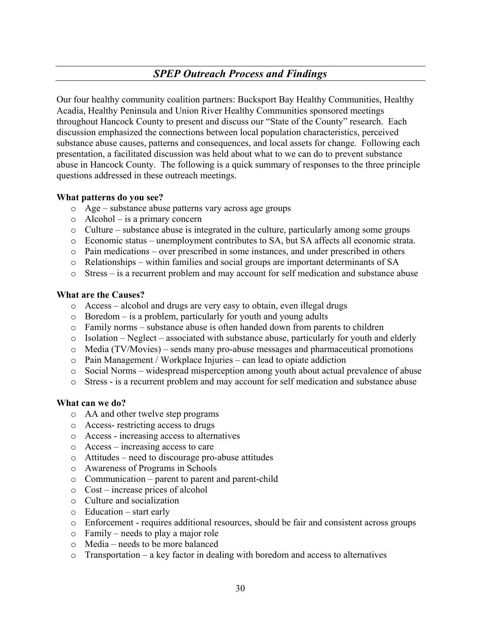# SPEP Outreach Process and Findings

Our four healthy community coalition partners: Bucksport Bay Healthy Communities, Healthy Acadia, Healthy Peninsula and Union River Healthy Communities sponsored meetings throughout Hancock County to present and discuss our "State of the County" research. Each discussion emphasized the connections between local population characteristics, perceived substance abuse causes, patterns and consequences, and local assets for change. Following each presentation, a facilitated discussion was held about what to we can do to prevent substance abuse in Hancock County. The following is a quick summary of responses to the three principle questions addressed in these outreach meetings.

#### What patterns do you see?

- o Age substance abuse patterns vary across age groups
- o Alcohol is a primary concern
- $\circ$  Culture substance abuse is integrated in the culture, particularly among some groups
- o Economic status unemployment contributes to SA, but SA affects all economic strata.
- $\circ$  Pain medications over prescribed in some instances, and under prescribed in others
- $\circ$  Relationships within families and social groups are important determinants of SA
- o Stress is a recurrent problem and may account for self medication and substance abuse

#### What are the Causes?

- o Access alcohol and drugs are very easy to obtain, even illegal drugs
- $\circ$  Boredom is a problem, particularly for youth and young adults
- $\circ$  Family norms substance abuse is often handed down from parents to children
- o Isolation Neglect associated with substance abuse, particularly for youth and elderly
- o Media (TV/Movies) sends many pro-abuse messages and pharmaceutical promotions
- o Pain Management / Workplace Injuries can lead to opiate addiction
- o Social Norms widespread misperception among youth about actual prevalence of abuse
- o Stress is a recurrent problem and may account for self medication and substance abuse

#### What can we do?

- o AA and other twelve step programs
- o Access- restricting access to drugs
- o Access increasing access to alternatives
- o Access increasing access to care
- o Attitudes need to discourage pro-abuse attitudes
- o Awareness of Programs in Schools
- o Communication parent to parent and parent-child
- o Cost increase prices of alcohol
- o Culture and socialization
- o Education start early
- o Enforcement requires additional resources, should be fair and consistent across groups
- o Family needs to play a major role
- o Media needs to be more balanced
- $\circ$  Transportation a key factor in dealing with boredom and access to alternatives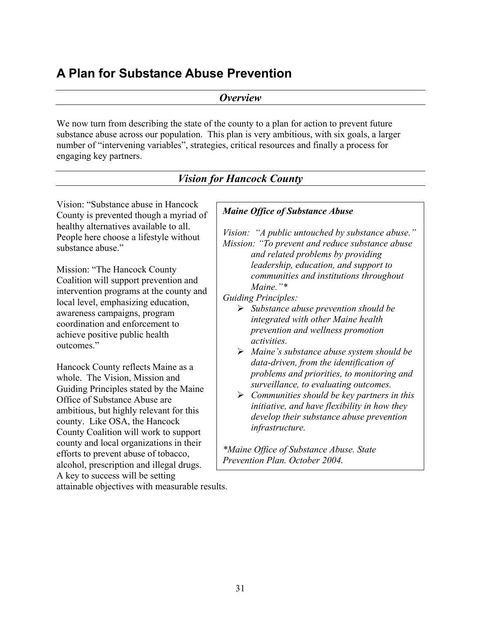# A Plan for Substance Abuse Prevention

**Overview** 

We now turn from describing the state of the county to a plan for action to prevent future substance abuse across our population. This plan is very ambitious, with six goals, a larger number of "intervening variables", strategies, critical resources and finally a process for engaging key partners.

|                                                                                                                                                                                                                                                                             | <b>Vision for Hancock County</b>                                                                                                                                                                                                                                                                                                                                          |
|-----------------------------------------------------------------------------------------------------------------------------------------------------------------------------------------------------------------------------------------------------------------------------|---------------------------------------------------------------------------------------------------------------------------------------------------------------------------------------------------------------------------------------------------------------------------------------------------------------------------------------------------------------------------|
| Vision: "Substance abuse in Hancock"                                                                                                                                                                                                                                        | <b>Maine Office of Substance Abuse</b>                                                                                                                                                                                                                                                                                                                                    |
| County is prevented though a myriad of<br>healthy alternatives available to all.<br>People here choose a lifestyle without<br>substance abuse."                                                                                                                             | Vision: "A public untouched by substance abuse."<br>Mission: "To prevent and reduce substance abuse<br>and related problems by providing                                                                                                                                                                                                                                  |
| Mission: "The Hancock County"<br>Coalition will support prevention and<br>intervention programs at the county and<br>local level, emphasizing education,<br>awareness campaigns, program<br>coordination and enforcement to<br>achieve positive public health<br>outcomes." | leadership, education, and support to<br>communities and institutions throughout<br>Maine." $*$<br><b>Guiding Principles:</b><br>$\triangleright$ Substance abuse prevention should be<br>integrated with other Maine health<br>prevention and wellness promotion<br><i>activities.</i>                                                                                   |
| Hancock County reflects Maine as a<br>whole. The Vision, Mission and<br>Guiding Principles stated by the Maine<br>Office of Substance Abuse are<br>ambitious, but highly relevant for this<br>county. Like OSA, the Hancock<br>County Coalition will work to support        | $\triangleright$ Maine's substance abuse system should be<br>data-driven, from the identification of<br>problems and priorities, to monitoring and<br>surveillance, to evaluating outcomes.<br>$\triangleright$ Communities should be key partners in this<br>initiative, and have flexibility in how they<br>develop their substance abuse prevention<br>infrastructure. |
| county and local organizations in their<br>efforts to prevent abuse of tobacco,<br>alcohol, prescription and illegal drugs.                                                                                                                                                 | *Maine Office of Substance Abuse. State<br>Prevention Plan. October 2004.                                                                                                                                                                                                                                                                                                 |
| A key to success will be setting<br>attainable objectives with measurable results.                                                                                                                                                                                          |                                                                                                                                                                                                                                                                                                                                                                           |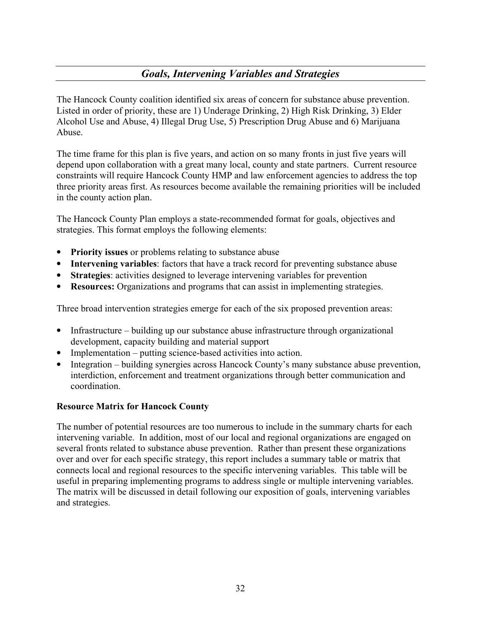# Goals, Intervening Variables and Strategies

The Hancock County coalition identified six areas of concern for substance abuse prevention. Listed in order of priority, these are 1) Underage Drinking, 2) High Risk Drinking, 3) Elder Alcohol Use and Abuse, 4) Illegal Drug Use, 5) Prescription Drug Abuse and 6) Marijuana Abuse.

The time frame for this plan is five years, and action on so many fronts in just five years will depend upon collaboration with a great many local, county and state partners. Current resource constraints will require Hancock County HMP and law enforcement agencies to address the top three priority areas first. As resources become available the remaining priorities will be included in the county action plan.

The Hancock County Plan employs a state-recommended format for goals, objectives and strategies. This format employs the following elements:

- Priority issues or problems relating to substance abuse
- Intervening variables: factors that have a track record for preventing substance abuse
- Strategies: activities designed to leverage intervening variables for prevention
- Resources: Organizations and programs that can assist in implementing strategies.

Three broad intervention strategies emerge for each of the six proposed prevention areas:

- Infrastructure building up our substance abuse infrastructure through organizational development, capacity building and material support
- Implementation putting science-based activities into action.
- Integration building synergies across Hancock County's many substance abuse prevention, interdiction, enforcement and treatment organizations through better communication and coordination.

#### Resource Matrix for Hancock County

The number of potential resources are too numerous to include in the summary charts for each intervening variable. In addition, most of our local and regional organizations are engaged on several fronts related to substance abuse prevention. Rather than present these organizations over and over for each specific strategy, this report includes a summary table or matrix that connects local and regional resources to the specific intervening variables. This table will be useful in preparing implementing programs to address single or multiple intervening variables. The matrix will be discussed in detail following our exposition of goals, intervening variables and strategies.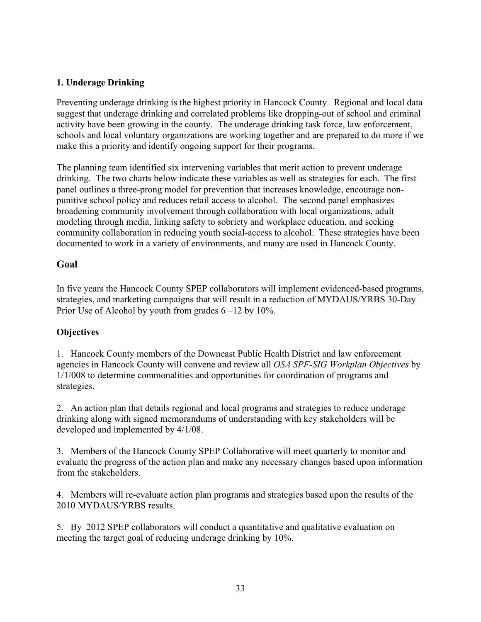#### 1. Underage Drinking

Preventing underage drinking is the highest priority in Hancock County. Regional and local data suggest that underage drinking and correlated problems like dropping-out of school and criminal activity have been growing in the county. The underage drinking task force, law enforcement, schools and local voluntary organizations are working together and are prepared to do more if we make this a priority and identify ongoing support for their programs.

The planning team identified six intervening variables that merit action to prevent underage drinking. The two charts below indicate these variables as well as strategies for each. The first panel outlines a three-prong model for prevention that increases knowledge, encourage nonpunitive school policy and reduces retail access to alcohol. The second panel emphasizes broadening community involvement through collaboration with local organizations, adult modeling through media, linking safety to sobriety and workplace education, and seeking community collaboration in reducing youth social-access to alcohol. These strategies have been documented to work in a variety of environments, and many are used in Hancock County.

## Goal

In five years the Hancock County SPEP collaborators will implement evidenced-based programs, strategies, and marketing campaigns that will result in a reduction of MYDAUS/YRBS 30-Day Prior Use of Alcohol by youth from grades  $6 - 12$  by  $10\%$ .

#### **Objectives**

1. Hancock County members of the Downeast Public Health District and law enforcement agencies in Hancock County will convene and review all OSA SPF-SIG Workplan Objectives by 1/1/008 to determine commonalities and opportunities for coordination of programs and strategies.

2. An action plan that details regional and local programs and strategies to reduce underage drinking along with signed memorandums of understanding with key stakeholders will be developed and implemented by 4/1/08.

3. Members of the Hancock County SPEP Collaborative will meet quarterly to monitor and evaluate the progress of the action plan and make any necessary changes based upon information from the stakeholders.

4. Members will re-evaluate action plan programs and strategies based upon the results of the 2010 MYDAUS/YRBS results.

5. By 2012 SPEP collaborators will conduct a quantitative and qualitative evaluation on meeting the target goal of reducing underage drinking by 10%.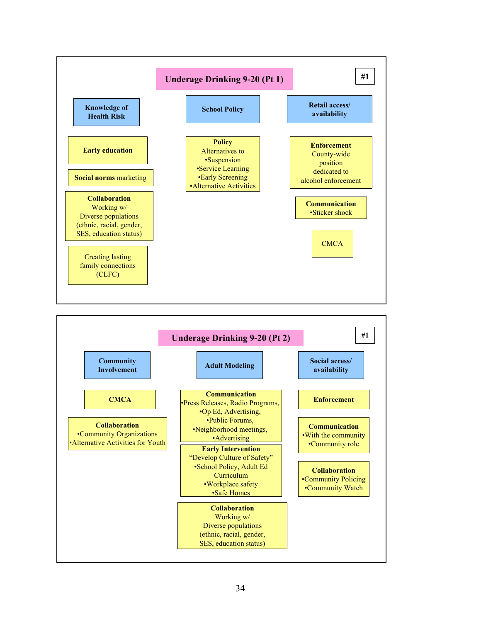

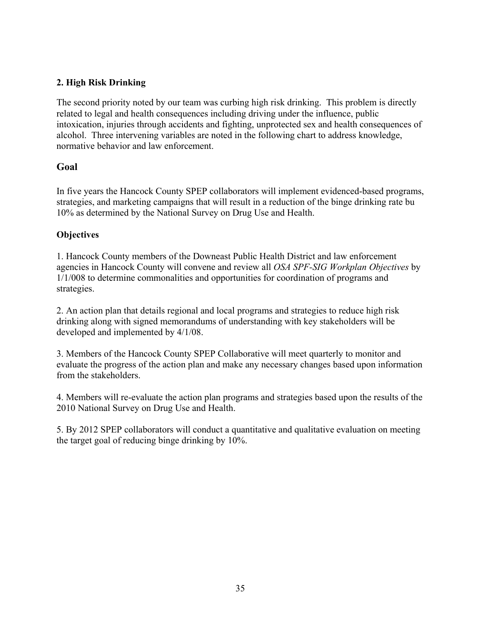### 2. High Risk Drinking

The second priority noted by our team was curbing high risk drinking. This problem is directly related to legal and health consequences including driving under the influence, public intoxication, injuries through accidents and fighting, unprotected sex and health consequences of alcohol. Three intervening variables are noted in the following chart to address knowledge, normative behavior and law enforcement.

## Goal

In five years the Hancock County SPEP collaborators will implement evidenced-based programs, strategies, and marketing campaigns that will result in a reduction of the binge drinking rate bu 10% as determined by the National Survey on Drug Use and Health.

#### **Objectives**

1. Hancock County members of the Downeast Public Health District and law enforcement agencies in Hancock County will convene and review all OSA SPF-SIG Workplan Objectives by 1/1/008 to determine commonalities and opportunities for coordination of programs and strategies.

2. An action plan that details regional and local programs and strategies to reduce high risk drinking along with signed memorandums of understanding with key stakeholders will be developed and implemented by 4/1/08.

3. Members of the Hancock County SPEP Collaborative will meet quarterly to monitor and evaluate the progress of the action plan and make any necessary changes based upon information from the stakeholders.

4. Members will re-evaluate the action plan programs and strategies based upon the results of the 2010 National Survey on Drug Use and Health.

5. By 2012 SPEP collaborators will conduct a quantitative and qualitative evaluation on meeting the target goal of reducing binge drinking by 10%.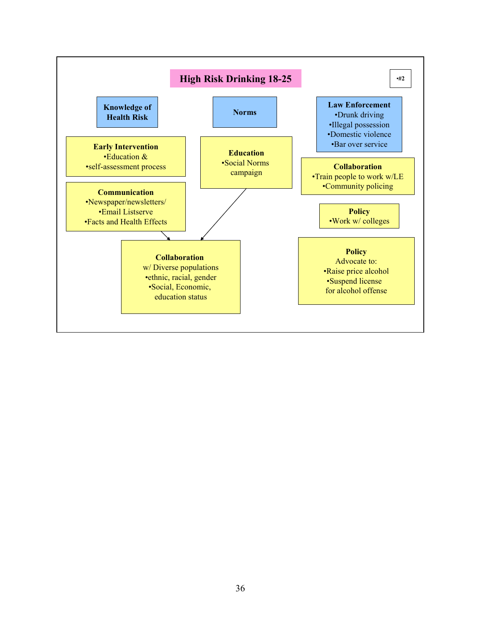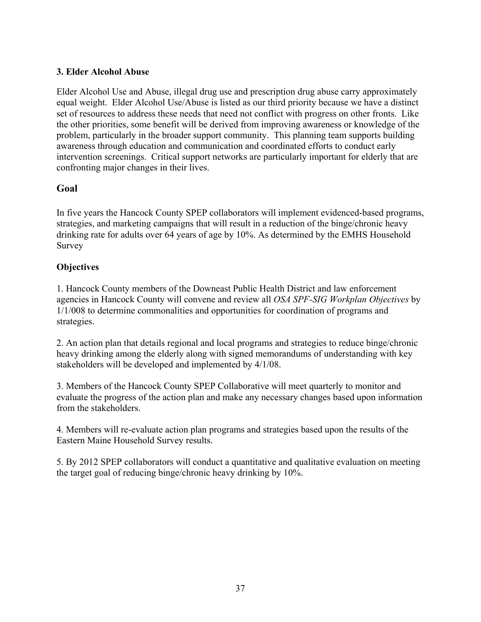#### 3. Elder Alcohol Abuse

Elder Alcohol Use and Abuse, illegal drug use and prescription drug abuse carry approximately equal weight. Elder Alcohol Use/Abuse is listed as our third priority because we have a distinct set of resources to address these needs that need not conflict with progress on other fronts. Like the other priorities, some benefit will be derived from improving awareness or knowledge of the problem, particularly in the broader support community. This planning team supports building awareness through education and communication and coordinated efforts to conduct early intervention screenings. Critical support networks are particularly important for elderly that are confronting major changes in their lives.

#### Goal

In five years the Hancock County SPEP collaborators will implement evidenced-based programs, strategies, and marketing campaigns that will result in a reduction of the binge/chronic heavy drinking rate for adults over 64 years of age by 10%. As determined by the EMHS Household Survey

#### **Objectives**

1. Hancock County members of the Downeast Public Health District and law enforcement agencies in Hancock County will convene and review all OSA SPF-SIG Workplan Objectives by 1/1/008 to determine commonalities and opportunities for coordination of programs and strategies.

2. An action plan that details regional and local programs and strategies to reduce binge/chronic heavy drinking among the elderly along with signed memorandums of understanding with key stakeholders will be developed and implemented by 4/1/08.

3. Members of the Hancock County SPEP Collaborative will meet quarterly to monitor and evaluate the progress of the action plan and make any necessary changes based upon information from the stakeholders.

4. Members will re-evaluate action plan programs and strategies based upon the results of the Eastern Maine Household Survey results.

5. By 2012 SPEP collaborators will conduct a quantitative and qualitative evaluation on meeting the target goal of reducing binge/chronic heavy drinking by 10%.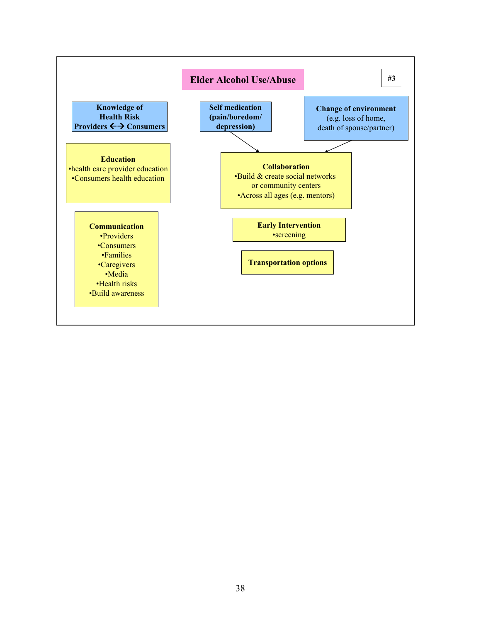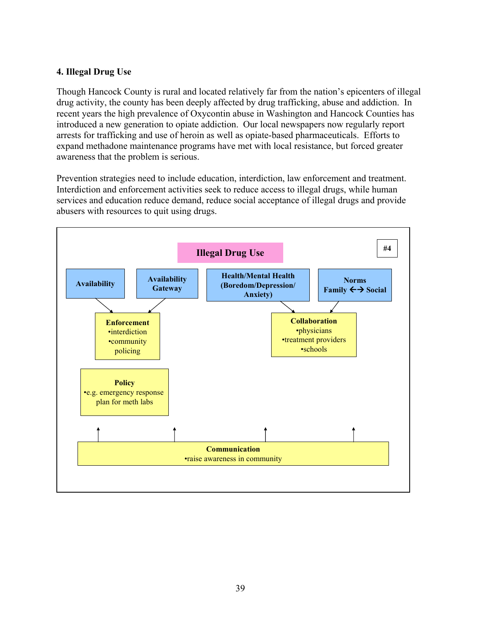#### 4. Illegal Drug Use

Though Hancock County is rural and located relatively far from the nation's epicenters of illegal drug activity, the county has been deeply affected by drug trafficking, abuse and addiction. In recent years the high prevalence of Oxycontin abuse in Washington and Hancock Counties has introduced a new generation to opiate addiction. Our local newspapers now regularly report arrests for trafficking and use of heroin as well as opiate-based pharmaceuticals. Efforts to expand methadone maintenance programs have met with local resistance, but forced greater awareness that the problem is serious.

Prevention strategies need to include education, interdiction, law enforcement and treatment. Interdiction and enforcement activities seek to reduce access to illegal drugs, while human services and education reduce demand, reduce social acceptance of illegal drugs and provide abusers with resources to quit using drugs.

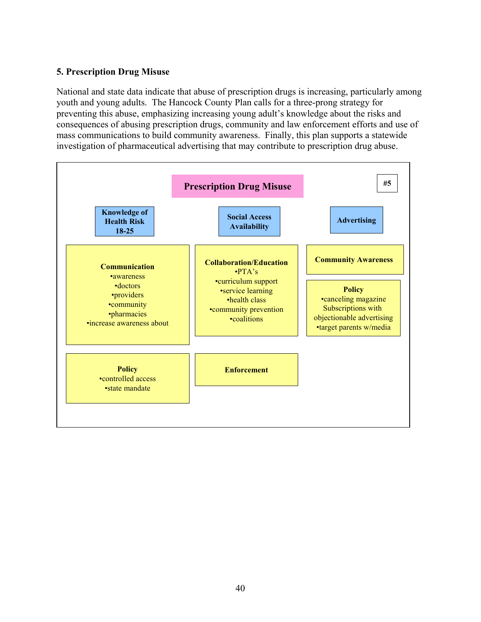#### 5. Prescription Drug Misuse

National and state data indicate that abuse of prescription drugs is increasing, particularly among youth and young adults. The Hancock County Plan calls for a three-prong strategy for preventing this abuse, emphasizing increasing young adult's knowledge about the risks and consequences of abusing prescription drugs, community and law enforcement efforts and use of mass communications to build community awareness. Finally, this plan supports a statewide investigation of pharmaceutical advertising that may contribute to prescription drug abuse.

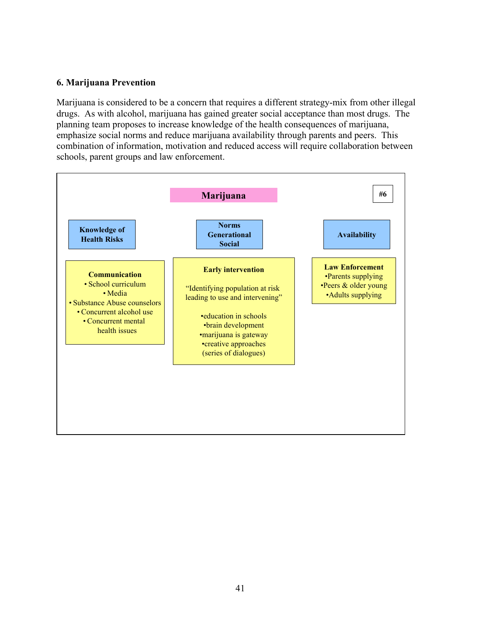#### 6. Marijuana Prevention

Marijuana is considered to be a concern that requires a different strategy-mix from other illegal drugs. As with alcohol, marijuana has gained greater social acceptance than most drugs. The planning team proposes to increase knowledge of the health consequences of marijuana, emphasize social norms and reduce marijuana availability through parents and peers. This combination of information, motivation and reduced access will require collaboration between schools, parent groups and law enforcement.

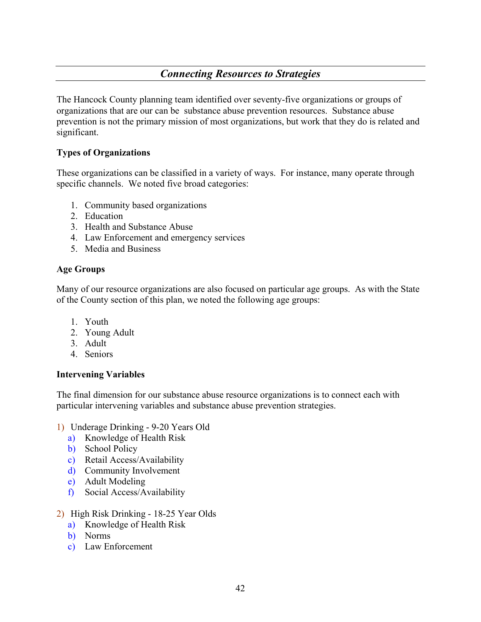# Connecting Resources to Strategies

The Hancock County planning team identified over seventy-five organizations or groups of organizations that are our can be substance abuse prevention resources. Substance abuse prevention is not the primary mission of most organizations, but work that they do is related and significant.

#### Types of Organizations

These organizations can be classified in a variety of ways. For instance, many operate through specific channels. We noted five broad categories:

- 1. Community based organizations
- 2. Education
- 3. Health and Substance Abuse
- 4. Law Enforcement and emergency services
- 5. Media and Business

#### Age Groups

Many of our resource organizations are also focused on particular age groups. As with the State of the County section of this plan, we noted the following age groups:

- 1. Youth
- 2. Young Adult
- 3. Adult
- 4. Seniors

#### Intervening Variables

The final dimension for our substance abuse resource organizations is to connect each with particular intervening variables and substance abuse prevention strategies.

- 1) Underage Drinking 9-20 Years Old
	- a) Knowledge of Health Risk
	- b) School Policy
	- c) Retail Access/Availability
	- d) Community Involvement
	- e) Adult Modeling
	- f) Social Access/Availability
- 2) High Risk Drinking 18-25 Year Olds
	- a) Knowledge of Health Risk
	- b) Norms
	- c) Law Enforcement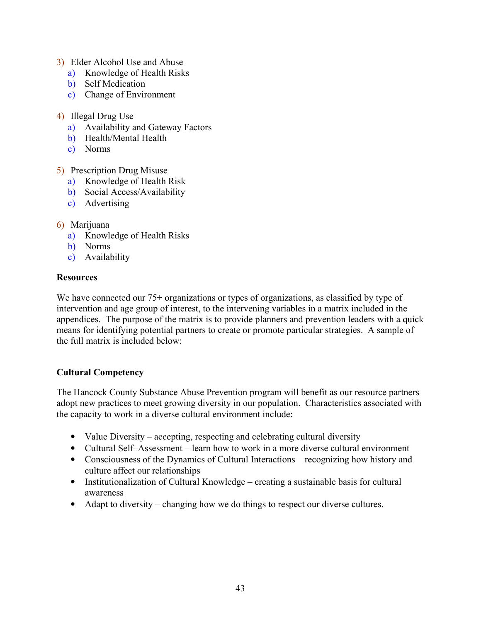- 3) Elder Alcohol Use and Abuse
	- a) Knowledge of Health Risks
	- b) Self Medication
	- c) Change of Environment
- 4) Illegal Drug Use
	- a) Availability and Gateway Factors
	- b) Health/Mental Health
	- c) Norms
- 5) Prescription Drug Misuse
	- a) Knowledge of Health Risk
	- b) Social Access/Availability
	- c) Advertising
- 6) Marijuana
	- a) Knowledge of Health Risks
	- b) Norms
	- c) Availability

#### **Resources**

We have connected our 75+ organizations or types of organizations, as classified by type of intervention and age group of interest, to the intervening variables in a matrix included in the appendices. The purpose of the matrix is to provide planners and prevention leaders with a quick means for identifying potential partners to create or promote particular strategies. A sample of the full matrix is included below:

#### Cultural Competency

The Hancock County Substance Abuse Prevention program will benefit as our resource partners adopt new practices to meet growing diversity in our population. Characteristics associated with the capacity to work in a diverse cultural environment include:

- Value Diversity accepting, respecting and celebrating cultural diversity
- Cultural Self–Assessment learn how to work in a more diverse cultural environment
- Consciousness of the Dynamics of Cultural Interactions recognizing how history and culture affect our relationships
- Institutionalization of Cultural Knowledge creating a sustainable basis for cultural awareness
- Adapt to diversity changing how we do things to respect our diverse cultures.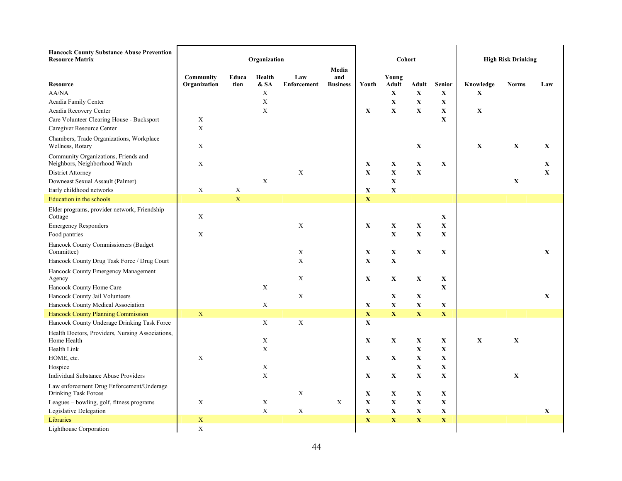| <b>Hancock County Substance Abuse Prevention</b> |  |
|--------------------------------------------------|--|
| Doconnoo Motriv                                  |  |

| <b>Resource Matrix</b>                                                | Organization              |               |                           |                    |                 | Cohort      |              |             |               | <b>High Risk Drinking</b> |              |             |
|-----------------------------------------------------------------------|---------------------------|---------------|---------------------------|--------------------|-----------------|-------------|--------------|-------------|---------------|---------------------------|--------------|-------------|
|                                                                       |                           |               |                           |                    | Media           |             |              |             |               |                           |              |             |
|                                                                       | Community                 | Educa<br>tion | Health                    | Law                | and             |             | Young        |             |               |                           |              |             |
| <b>Resource</b><br>AA/NA                                              | Organization              |               | & SA<br>X                 | <b>Enforcement</b> | <b>Business</b> | Youth       | <b>Adult</b> | Adult       | <b>Senior</b> | Knowledge                 | <b>Norms</b> | Law         |
|                                                                       |                           |               | $\mathbf X$               |                    |                 |             | $\mathbf X$  | $\mathbf X$ | $\mathbf X$   | $\mathbf X$               |              |             |
| Acadia Family Center                                                  |                           |               | $\boldsymbol{\mathrm{X}}$ |                    |                 |             | $\mathbf X$  | $\mathbf X$ | $\mathbf X$   |                           |              |             |
| Acadia Recovery Center                                                |                           |               |                           |                    |                 | $\mathbf X$ | $\mathbf X$  | $\mathbf X$ | $\mathbf X$   | $\mathbf X$               |              |             |
| Care Volunteer Clearing House - Bucksport                             | $\boldsymbol{\mathrm{X}}$ |               |                           |                    |                 |             |              |             | X             |                           |              |             |
| Caregiver Resource Center                                             | $\mathbf X$               |               |                           |                    |                 |             |              |             |               |                           |              |             |
| Chambers, Trade Organizations, Workplace<br>Wellness, Rotary          | $\mathbf X$               |               |                           |                    |                 |             |              | $\mathbf X$ |               | $\mathbf X$               | $\mathbf X$  | X           |
| Community Organizations, Friends and<br>Neighbors, Neighborhood Watch | $\mathbf X$               |               |                           |                    |                 | $\mathbf X$ | $\mathbf X$  | $\mathbf X$ | $\mathbf X$   |                           |              | $\mathbf X$ |
| <b>District Attorney</b>                                              |                           |               |                           | X                  |                 | $\mathbf X$ | $\mathbf X$  | $\mathbf X$ |               |                           |              | $\mathbf X$ |
| Downeast Sexual Assault (Palmer)                                      |                           |               | $\boldsymbol{\mathrm{X}}$ |                    |                 |             | $\mathbf X$  |             |               |                           | $\mathbf X$  |             |
| Early childhood networks                                              | $\mathbf X$               | $\mathbf X$   |                           |                    |                 | $\mathbf X$ | $\mathbf X$  |             |               |                           |              |             |
| <b>Education</b> in the schools                                       |                           | $\mathbf X$   |                           |                    |                 | $\mathbf X$ |              |             |               |                           |              |             |
| Elder programs, provider network, Friendship<br>Cottage               | $\mathbf X$               |               |                           |                    |                 |             |              |             | $\mathbf X$   |                           |              |             |
| <b>Emergency Responders</b>                                           |                           |               |                           | X                  |                 | X           | $\mathbf X$  | $\mathbf X$ | $\mathbf X$   |                           |              |             |
| Food pantries                                                         | $\mathbf X$               |               |                           |                    |                 |             | $\mathbf X$  | $\mathbf X$ | $\mathbf X$   |                           |              |             |
| Hancock County Commissioners (Budget<br>Committee)                    |                           |               |                           | $\mathbf X$        |                 | X           | $\mathbf X$  | $\mathbf X$ | $\mathbf X$   |                           |              | $\mathbf X$ |
| Hancock County Drug Task Force / Drug Court                           |                           |               |                           | $\mathbf X$        |                 | $\mathbf X$ | $\mathbf X$  |             |               |                           |              |             |
|                                                                       |                           |               |                           |                    |                 |             |              |             |               |                           |              |             |
| Hancock County Emergency Management<br>Agency                         |                           |               |                           | X                  |                 | X           | $\mathbf X$  | $\mathbf X$ | $\mathbf X$   |                           |              |             |
| Hancock County Home Care                                              |                           |               | X                         |                    |                 |             |              |             | $\mathbf X$   |                           |              |             |
| Hancock County Jail Volunteers                                        |                           |               |                           | $\mathbf X$        |                 |             | $\mathbf X$  | X           |               |                           |              | $\mathbf X$ |
| Hancock County Medical Association                                    |                           |               | $\mathbf X$               |                    |                 | X           | $\mathbf X$  | $\mathbf X$ | X             |                           |              |             |
| <b>Hancock County Planning Commission</b>                             | $\mathbf X$               |               |                           |                    |                 | $\mathbf X$ | $\mathbf X$  | $\mathbf X$ | $\mathbf X$   |                           |              |             |
| Hancock County Underage Drinking Task Force                           |                           |               | $\mathbf X$               | $\mathbf X$        |                 | $\mathbf X$ |              |             |               |                           |              |             |
|                                                                       |                           |               |                           |                    |                 |             |              |             |               |                           |              |             |
| Health Doctors, Providers, Nursing Associations,<br>Home Health       |                           |               | X                         |                    |                 | X           | $\mathbf X$  | X           | X             | $\mathbf X$               | $\mathbf X$  |             |
| Health Link                                                           |                           |               | $\mathbf X$               |                    |                 |             |              | $\mathbf X$ | X             |                           |              |             |
| HOME, etc.                                                            | $\mathbf X$               |               |                           |                    |                 | X           | $\mathbf X$  | $\mathbf X$ | $\mathbf X$   |                           |              |             |
| Hospice                                                               |                           |               | X                         |                    |                 |             |              | $\mathbf X$ | $\mathbf X$   |                           |              |             |
| <b>Individual Substance Abuse Providers</b>                           |                           |               | $\mathbf X$               |                    |                 | X           | X            | $\mathbf X$ | $\mathbf X$   |                           | $\mathbf X$  |             |
|                                                                       |                           |               |                           |                    |                 |             |              |             |               |                           |              |             |
| Law enforcement Drug Enforcement/Underage<br>Drinking Task Forces     |                           |               |                           | $\mathbf X$        |                 | $\mathbf X$ | $\mathbf X$  | $\mathbf X$ | $\mathbf X$   |                           |              |             |
| Leagues - bowling, golf, fitness programs                             | $\mathbf X$               |               | $\mathbf X$               |                    | X               | $\mathbf X$ | $\mathbf X$  | $\mathbf X$ | $\mathbf X$   |                           |              |             |
| Legislative Delegation                                                |                           |               | $\mathbf X$               | $\mathbf X$        |                 | $\mathbf X$ | $\mathbf X$  | $\mathbf X$ | $\mathbf X$   |                           |              | $\mathbf X$ |
| Libraries                                                             | $\mathbf X$               |               |                           |                    |                 | $\mathbf X$ | $\mathbf X$  | $\mathbf X$ | $\mathbf X$   |                           |              |             |
| <b>Lighthouse Corporation</b>                                         | $\mathbf X$               |               |                           |                    |                 |             |              |             |               |                           |              |             |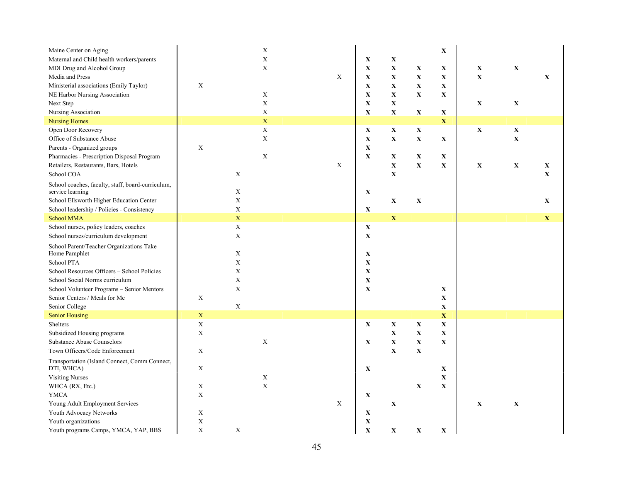| Maine Center on Aging<br>Maternal and Child health workers/parents<br>MDI Drug and Alcohol Group<br>Media and Press<br>Ministerial associations (Emily Taylor)<br>NE Harbor Nursing Association<br>Next Step<br>Nursing Association | $\mathbf X$ |                            | $\mathbf X$<br>$\bar{X}$<br>$\mathbf X$<br>$\mathbf X$<br>$\mathbf X$<br>$\mathbf X$ | $\mathbf X$ | $\mathbf X$<br>$\mathbf X$<br>$\mathbf X$<br>$\mathbf X$<br>$\mathbf X$<br>$\mathbf X$<br>$\mathbf X$ | $\mathbf X$<br>$\mathbf X$<br>$\mathbf X$<br>$\mathbf X$<br>$\mathbf X$<br>$\mathbf X$<br>$\mathbf X$ | $\mathbf X$<br>$\mathbf X$<br>$\mathbf X$<br>$\mathbf X$<br>$\mathbf X$ | $\mathbf X$<br>X<br>$\mathbf X$<br>$\mathbf X$<br>$\mathbf X$<br>$\mathbf X$ | $\mathbf X$<br>$\mathbf X$<br>$\mathbf X$ | X<br>$\mathbf X$           | $\mathbf X$                |
|-------------------------------------------------------------------------------------------------------------------------------------------------------------------------------------------------------------------------------------|-------------|----------------------------|--------------------------------------------------------------------------------------|-------------|-------------------------------------------------------------------------------------------------------|-------------------------------------------------------------------------------------------------------|-------------------------------------------------------------------------|------------------------------------------------------------------------------|-------------------------------------------|----------------------------|----------------------------|
| <b>Nursing Homes</b>                                                                                                                                                                                                                |             |                            | $\mathbf X$                                                                          |             |                                                                                                       |                                                                                                       |                                                                         | $\mathbf X$                                                                  |                                           |                            |                            |
| Open Door Recovery<br>Office of Substance Abuse<br>Parents - Organized groups<br>Pharmacies - Prescription Disposal Program                                                                                                         | $\mathbf X$ |                            | $\mathbf X$<br>$\mathbf X$<br>$\mathbf X$                                            |             | $\mathbf X$<br>$\mathbf X$<br>$\mathbf X$<br>$\mathbf X$                                              | $\mathbf X$<br>$\mathbf X$<br>$\mathbf X$                                                             | $\mathbf X$<br>$\mathbf X$<br>X                                         | $\mathbf X$<br>X                                                             | $\mathbf X$                               | $\mathbf X$<br>$\mathbf X$ |                            |
| Retailers, Restaurants, Bars, Hotels<br>School COA                                                                                                                                                                                  |             | X                          |                                                                                      | $\mathbf X$ |                                                                                                       | $\mathbf X$<br>$\mathbf X$                                                                            | $\mathbf X$                                                             | $\mathbf X$                                                                  | $\mathbf X$                               | $\mathbf X$                | $\mathbf X$<br>$\mathbf X$ |
| School coaches, faculty, staff, board-curriculum,<br>service learning<br>School Ellsworth Higher Education Center                                                                                                                   |             | X<br>$\mathbf X$           |                                                                                      |             | X                                                                                                     | $\mathbf X$                                                                                           | $\mathbf X$                                                             |                                                                              |                                           |                            | X                          |
| School leadership / Policies - Consistency                                                                                                                                                                                          |             | $\mathbf X$                |                                                                                      |             | $\mathbf X$                                                                                           |                                                                                                       |                                                                         |                                                                              |                                           |                            |                            |
| School MMA                                                                                                                                                                                                                          |             | $\bar{X}$                  |                                                                                      |             |                                                                                                       | $\mathbf X$                                                                                           |                                                                         |                                                                              |                                           |                            | $\mathbf X$                |
| School nurses, policy leaders, coaches<br>School nurses/curriculum development                                                                                                                                                      |             | $\mathbf X$<br>$\mathbf X$ |                                                                                      |             | X<br>$\mathbf X$                                                                                      |                                                                                                       |                                                                         |                                                                              |                                           |                            |                            |
| School Parent/Teacher Organizations Take<br>Home Pamphlet                                                                                                                                                                           |             | X                          |                                                                                      |             | $\mathbf X$                                                                                           |                                                                                                       |                                                                         |                                                                              |                                           |                            |                            |
| School PTA                                                                                                                                                                                                                          |             | $\mathbf X$                |                                                                                      |             | $\mathbf X$                                                                                           |                                                                                                       |                                                                         |                                                                              |                                           |                            |                            |
| School Resources Officers - School Policies                                                                                                                                                                                         |             | $\mathbf X$                |                                                                                      |             | $\mathbf X$                                                                                           |                                                                                                       |                                                                         |                                                                              |                                           |                            |                            |
| School Social Norms curriculum                                                                                                                                                                                                      |             | $\mathbf X$                |                                                                                      |             | $\mathbf X$                                                                                           |                                                                                                       |                                                                         |                                                                              |                                           |                            |                            |
| School Volunteer Programs - Senior Mentors                                                                                                                                                                                          |             | $\mathbf X$                |                                                                                      |             | $\mathbf X$                                                                                           |                                                                                                       |                                                                         | $\mathbf X$                                                                  |                                           |                            |                            |
| Senior Centers / Meals for Me                                                                                                                                                                                                       | X           |                            |                                                                                      |             |                                                                                                       |                                                                                                       |                                                                         | $\mathbf X$                                                                  |                                           |                            |                            |
| Senior College                                                                                                                                                                                                                      |             | $\mathbf X$                |                                                                                      |             |                                                                                                       |                                                                                                       |                                                                         | $\mathbf X$                                                                  |                                           |                            |                            |
| <b>Senior Housing</b>                                                                                                                                                                                                               | $\mathbf X$ |                            |                                                                                      |             |                                                                                                       |                                                                                                       |                                                                         | $\mathbf X$                                                                  |                                           |                            |                            |
| Shelters                                                                                                                                                                                                                            | X           |                            |                                                                                      |             | $\mathbf X$                                                                                           | $\mathbf X$                                                                                           | $\mathbf X$                                                             | $\mathbf X$                                                                  |                                           |                            |                            |
| Subsidized Housing programs                                                                                                                                                                                                         | X           |                            |                                                                                      |             |                                                                                                       | $\mathbf X$                                                                                           | $\mathbf X$                                                             | $\mathbf X$                                                                  |                                           |                            |                            |
| <b>Substance Abuse Counselors</b>                                                                                                                                                                                                   |             |                            | $\mathbf X$                                                                          |             | $\mathbf X$                                                                                           | $\mathbf X$                                                                                           | $\mathbf X$                                                             | $\mathbf X$                                                                  |                                           |                            |                            |
| Town Officers/Code Enforcement                                                                                                                                                                                                      | $\mathbf X$ |                            |                                                                                      |             |                                                                                                       | $\mathbf X$                                                                                           | $\mathbf X$                                                             |                                                                              |                                           |                            |                            |
| Transportation (Island Connect, Comm Connect,<br>DTI, WHCA)                                                                                                                                                                         | $\mathbf X$ |                            |                                                                                      |             | $\mathbf X$                                                                                           |                                                                                                       |                                                                         | $\mathbf X$                                                                  |                                           |                            |                            |
| <b>Visiting Nurses</b>                                                                                                                                                                                                              |             |                            | X                                                                                    |             |                                                                                                       |                                                                                                       |                                                                         | $\mathbf X$                                                                  |                                           |                            |                            |
| WHCA (RX, Etc.)                                                                                                                                                                                                                     | $\mathbf X$ |                            | $\mathbf X$                                                                          |             |                                                                                                       |                                                                                                       | $\mathbf X$                                                             | $\mathbf X$                                                                  |                                           |                            |                            |
| <b>YMCA</b>                                                                                                                                                                                                                         | $\mathbf X$ |                            |                                                                                      |             | $\mathbf X$                                                                                           |                                                                                                       |                                                                         |                                                                              |                                           |                            |                            |
| Young Adult Employment Services                                                                                                                                                                                                     |             |                            |                                                                                      | X           |                                                                                                       | $\mathbf X$                                                                                           |                                                                         |                                                                              | $\mathbf X$                               | $\mathbf X$                |                            |
| Youth Advocacy Networks                                                                                                                                                                                                             | $\mathbf X$ |                            |                                                                                      |             | $\mathbf X$                                                                                           |                                                                                                       |                                                                         |                                                                              |                                           |                            |                            |
| Youth organizations                                                                                                                                                                                                                 | $\mathbf X$ |                            |                                                                                      |             | $\mathbf X$                                                                                           |                                                                                                       |                                                                         |                                                                              |                                           |                            |                            |
| Youth programs Camps, YMCA, YAP, BBS                                                                                                                                                                                                | $\mathbf X$ | $\mathbf X$                |                                                                                      |             | $\mathbf X$                                                                                           | $\mathbf X$                                                                                           | $\mathbf X$                                                             | $\mathbf X$                                                                  |                                           |                            |                            |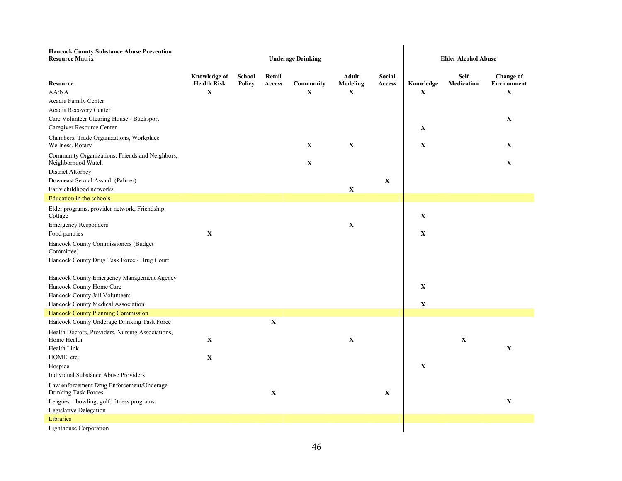| <b>Hancock County Substance Abuse Prevention</b><br><b>Resource Matrix</b>                                                                     |                                                          |                         | <b>Underage Drinking</b> | <b>Elder Alcohol Abuse</b> |                                  |                  |                  |                           |                                         |
|------------------------------------------------------------------------------------------------------------------------------------------------|----------------------------------------------------------|-------------------------|--------------------------|----------------------------|----------------------------------|------------------|------------------|---------------------------|-----------------------------------------|
| <b>Resource</b><br>AA/NA<br>Acadia Family Center                                                                                               | <b>Knowledge of</b><br><b>Health Risk</b><br>$\mathbf X$ | School<br><b>Policy</b> | Retail<br>Access         | Community<br>$\mathbf X$   | Adult<br>Modeling<br>$\mathbf X$ | Social<br>Access | Knowledge<br>X   | <b>Self</b><br>Medication | Change of<br>Environment<br>$\mathbf X$ |
| Acadia Recovery Center<br>Care Volunteer Clearing House - Bucksport<br>Caregiver Resource Center                                               |                                                          |                         |                          |                            |                                  |                  | $\mathbf X$      |                           | $\mathbf X$                             |
| Chambers, Trade Organizations, Workplace<br>Wellness, Rotary                                                                                   |                                                          |                         |                          | X                          | $\mathbf X$                      |                  | X                |                           | X                                       |
| Community Organizations, Friends and Neighbors,<br>Neighborhood Watch                                                                          |                                                          |                         |                          | $\mathbf X$                |                                  |                  |                  |                           | $\mathbf X$                             |
| <b>District Attorney</b><br>Downeast Sexual Assault (Palmer)<br>Early childhood networks                                                       |                                                          |                         |                          |                            | $\mathbf X$                      | $\mathbf X$      |                  |                           |                                         |
| Education in the schools                                                                                                                       |                                                          |                         |                          |                            |                                  |                  |                  |                           |                                         |
| Elder programs, provider network, Friendship<br>Cottage                                                                                        |                                                          |                         |                          |                            |                                  |                  | $\mathbf X$      |                           |                                         |
| <b>Emergency Responders</b>                                                                                                                    |                                                          |                         |                          |                            | $\mathbf X$                      |                  |                  |                           |                                         |
| Food pantries                                                                                                                                  | $\mathbf X$                                              |                         |                          |                            |                                  |                  | X                |                           |                                         |
| Hancock County Commissioners (Budget<br>Committee)                                                                                             |                                                          |                         |                          |                            |                                  |                  |                  |                           |                                         |
| Hancock County Drug Task Force / Drug Court                                                                                                    |                                                          |                         |                          |                            |                                  |                  |                  |                           |                                         |
| Hancock County Emergency Management Agency<br>Hancock County Home Care<br>Hancock County Jail Volunteers<br>Hancock County Medical Association |                                                          |                         |                          |                            |                                  |                  | X<br>$\mathbf X$ |                           |                                         |
| Hancock County Planning Commission                                                                                                             |                                                          |                         |                          |                            |                                  |                  |                  |                           |                                         |
| Hancock County Underage Drinking Task Force                                                                                                    |                                                          |                         | $\mathbf X$              |                            |                                  |                  |                  |                           |                                         |
| Health Doctors, Providers, Nursing Associations,<br>Home Health                                                                                | $\mathbf X$                                              |                         |                          |                            | $\mathbf X$                      |                  |                  | $\mathbf X$               |                                         |
| Health Link                                                                                                                                    |                                                          |                         |                          |                            |                                  |                  |                  |                           | $\mathbf X$                             |
| HOME, etc.                                                                                                                                     | $\mathbf X$                                              |                         |                          |                            |                                  |                  |                  |                           |                                         |
| Hospice                                                                                                                                        |                                                          |                         |                          |                            |                                  |                  | X                |                           |                                         |
| <b>Individual Substance Abuse Providers</b>                                                                                                    |                                                          |                         |                          |                            |                                  |                  |                  |                           |                                         |
| Law enforcement Drug Enforcement/Underage<br>Drinking Task Forces                                                                              |                                                          |                         | $\mathbf X$              |                            |                                  | $\mathbf X$      |                  |                           |                                         |
| Leagues – bowling, golf, fitness programs                                                                                                      |                                                          |                         |                          |                            |                                  |                  |                  |                           | $\mathbf X$                             |
| Legislative Delegation                                                                                                                         |                                                          |                         |                          |                            |                                  |                  |                  |                           |                                         |
| Libraries                                                                                                                                      |                                                          |                         |                          |                            |                                  |                  |                  |                           |                                         |
| <b>Lighthouse Corporation</b>                                                                                                                  |                                                          |                         |                          |                            |                                  |                  |                  |                           |                                         |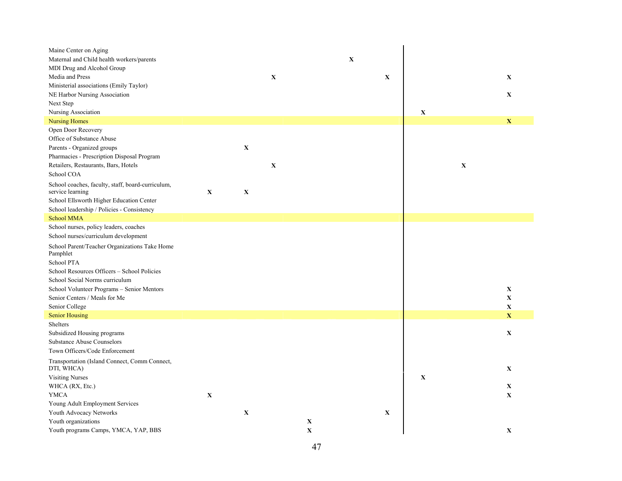| Maine Center on Aging                                       |             |             |             |             |   |             |             |             |              |
|-------------------------------------------------------------|-------------|-------------|-------------|-------------|---|-------------|-------------|-------------|--------------|
| Maternal and Child health workers/parents                   |             |             |             |             | X |             |             |             |              |
| MDI Drug and Alcohol Group                                  |             |             |             |             |   |             |             |             |              |
| Media and Press                                             |             |             | $\mathbf X$ |             |   | $\mathbf X$ |             |             | $\mathbf X$  |
| Ministerial associations (Emily Taylor)                     |             |             |             |             |   |             |             |             |              |
| NE Harbor Nursing Association                               |             |             |             |             |   |             |             |             | $\mathbf X$  |
| Next Step                                                   |             |             |             |             |   |             |             |             |              |
| Nursing Association                                         |             |             |             |             |   |             | $\mathbf X$ |             |              |
| <b>Nursing Homes</b>                                        |             |             |             |             |   |             |             |             | $\mathbf X$  |
| Open Door Recovery                                          |             |             |             |             |   |             |             |             |              |
| Office of Substance Abuse                                   |             |             |             |             |   |             |             |             |              |
| Parents - Organized groups                                  |             | $\mathbf X$ |             |             |   |             |             |             |              |
| Pharmacies - Prescription Disposal Program                  |             |             |             |             |   |             |             |             |              |
| Retailers, Restaurants, Bars, Hotels                        |             |             | $\mathbf X$ |             |   |             |             | $\mathbf X$ |              |
| School COA                                                  |             |             |             |             |   |             |             |             |              |
| School coaches, faculty, staff, board-curriculum,           |             |             |             |             |   |             |             |             |              |
| service learning                                            | $\mathbf X$ | $\mathbf X$ |             |             |   |             |             |             |              |
| School Ellsworth Higher Education Center                    |             |             |             |             |   |             |             |             |              |
| School leadership / Policies - Consistency<br>School MMA    |             |             |             |             |   |             |             |             |              |
| School nurses, policy leaders, coaches                      |             |             |             |             |   |             |             |             |              |
| School nurses/curriculum development                        |             |             |             |             |   |             |             |             |              |
| School Parent/Teacher Organizations Take Home<br>Pamphlet   |             |             |             |             |   |             |             |             |              |
| School PTA                                                  |             |             |             |             |   |             |             |             |              |
| School Resources Officers - School Policies                 |             |             |             |             |   |             |             |             |              |
| School Social Norms curriculum                              |             |             |             |             |   |             |             |             |              |
| School Volunteer Programs – Senior Mentors                  |             |             |             |             |   |             |             |             | $\mathbf X$  |
| Senior Centers / Meals for Me                               |             |             |             |             |   |             |             |             | X            |
| Senior College                                              |             |             |             |             |   |             |             |             | $\mathbf X$  |
| <b>Senior Housing</b>                                       |             |             |             |             |   |             |             |             | $\mathbf X$  |
| Shelters                                                    |             |             |             |             |   |             |             |             |              |
| Subsidized Housing programs                                 |             |             |             |             |   |             |             |             | $\mathbf X$  |
| <b>Substance Abuse Counselors</b>                           |             |             |             |             |   |             |             |             |              |
| Town Officers/Code Enforcement                              |             |             |             |             |   |             |             |             |              |
| Transportation (Island Connect, Comm Connect,<br>DTI, WHCA) |             |             |             |             |   |             |             |             | $\mathbf X$  |
| <b>Visiting Nurses</b>                                      |             |             |             |             |   |             | X           |             |              |
| WHCA (RX, Etc.)                                             |             |             |             |             |   |             |             |             | X            |
| <b>YMCA</b>                                                 | $\mathbf X$ |             |             |             |   |             |             |             | $\mathbf{X}$ |
| Young Adult Employment Services                             |             |             |             |             |   |             |             |             |              |
| Youth Advocacy Networks                                     |             | $\mathbf X$ |             |             |   | $\mathbf X$ |             |             |              |
| Youth organizations                                         |             |             |             | $\mathbf X$ |   |             |             |             |              |
| Youth programs Camps, YMCA, YAP, BBS                        |             |             |             | $\mathbf X$ |   |             |             |             | $\mathbf X$  |
|                                                             |             |             |             |             |   |             |             |             |              |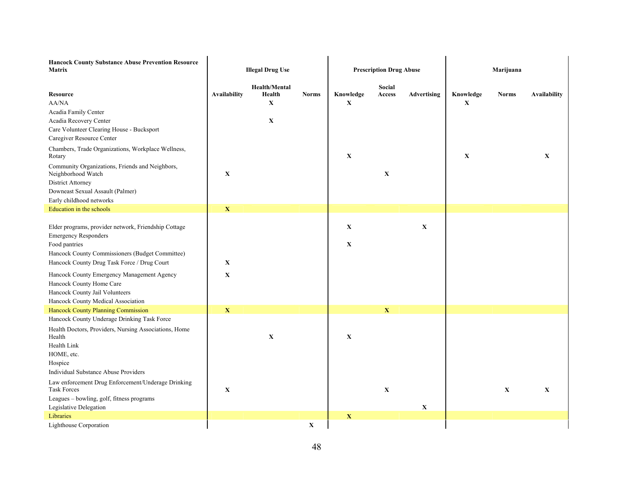| <b>Hancock County Substance Abuse Prevention Resource</b><br>Matrix                                                                                                                                    | <b>Illegal Drug Use</b> |                                                              |              |                            | <b>Prescription Drug Abuse</b> |             | Marijuana                |              |                     |  |
|--------------------------------------------------------------------------------------------------------------------------------------------------------------------------------------------------------|-------------------------|--------------------------------------------------------------|--------------|----------------------------|--------------------------------|-------------|--------------------------|--------------|---------------------|--|
| <b>Resource</b><br>AA/NA<br>Acadia Family Center<br>Acadia Recovery Center<br>Care Volunteer Clearing House - Bucksport<br>Caregiver Resource Center                                                   | <b>Availability</b>     | <b>Health/Mental</b><br>Health<br>$\mathbf X$<br>$\mathbf X$ | <b>Norms</b> | Knowledge<br>$\mathbf X$   | Social<br>Access               | Advertising | Knowledge<br>$\mathbf X$ | <b>Norms</b> | <b>Availability</b> |  |
| Chambers, Trade Organizations, Workplace Wellness,<br>Rotary                                                                                                                                           |                         |                                                              |              | $\mathbf X$                |                                |             | $\mathbf X$              |              | X                   |  |
| Community Organizations, Friends and Neighbors,<br>Neighborhood Watch<br>District Attorney<br>Downeast Sexual Assault (Palmer)<br>Early childhood networks                                             | $\mathbf X$             |                                                              |              |                            | $\mathbf X$                    |             |                          |              |                     |  |
| Education in the schools                                                                                                                                                                               | $\mathbf X$             |                                                              |              |                            |                                |             |                          |              |                     |  |
| Elder programs, provider network, Friendship Cottage<br><b>Emergency Responders</b><br>Food pantries<br>Hancock County Commissioners (Budget Committee)<br>Hancock County Drug Task Force / Drug Court | $\mathbf X$             |                                                              |              | $\mathbf X$<br>$\mathbf X$ |                                | $\mathbf X$ |                          |              |                     |  |
| Hancock County Emergency Management Agency<br>Hancock County Home Care<br>Hancock County Jail Volunteers<br>Hancock County Medical Association                                                         | $\mathbf X$             |                                                              |              |                            |                                |             |                          |              |                     |  |
| Hancock County Planning Commission                                                                                                                                                                     | $\mathbf X$             |                                                              |              |                            | $\mathbf X$                    |             |                          |              |                     |  |
| Hancock County Underage Drinking Task Force<br>Health Doctors, Providers, Nursing Associations, Home<br>Health<br>Health Link<br>HOME, etc.<br>Hospice                                                 |                         | $\mathbf X$                                                  |              | $\mathbf X$                |                                |             |                          |              |                     |  |
| <b>Individual Substance Abuse Providers</b>                                                                                                                                                            |                         |                                                              |              |                            |                                |             |                          |              |                     |  |
| Law enforcement Drug Enforcement/Underage Drinking<br><b>Task Forces</b><br>Leagues - bowling, golf, fitness programs<br>Legislative Delegation                                                        | $\mathbf X$             |                                                              |              |                            | $\mathbf X$                    | $\mathbf X$ |                          | $\mathbf X$  | $\mathbf X$         |  |
| Libraries                                                                                                                                                                                              |                         |                                                              |              | X                          |                                |             |                          |              |                     |  |
| Lighthouse Corporation                                                                                                                                                                                 |                         |                                                              | $\mathbf X$  |                            |                                |             |                          |              |                     |  |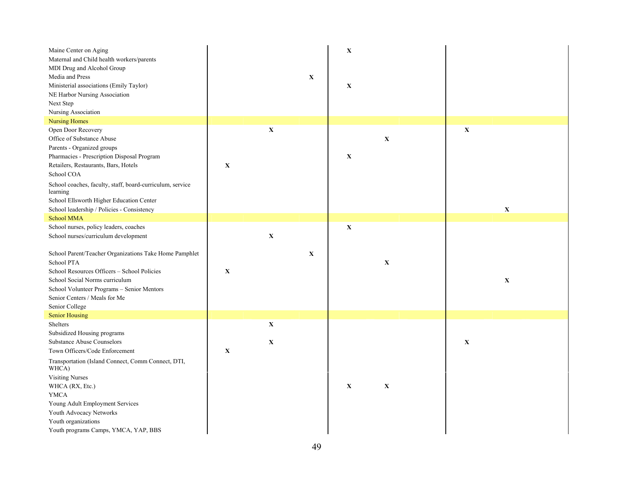| Maine Center on Aging<br>Maternal and Child health workers/parents<br>MDI Drug and Alcohol Group<br>Media and Press<br>Ministerial associations (Emily Taylor)<br>NE Harbor Nursing Association<br>Next Step<br>Nursing Association                    |             |                            | $\mathbf X$ | $\mathbf X$<br>$\mathbf X$ |              |             |             |
|--------------------------------------------------------------------------------------------------------------------------------------------------------------------------------------------------------------------------------------------------------|-------------|----------------------------|-------------|----------------------------|--------------|-------------|-------------|
| <b>Nursing Homes</b><br>Open Door Recovery                                                                                                                                                                                                             |             | $\mathbf X$                |             |                            |              | $\mathbf X$ |             |
| Office of Substance Abuse<br>Parents - Organized groups<br>Pharmacies - Prescription Disposal Program<br>Retailers, Restaurants, Bars, Hotels<br>School COA                                                                                            | $\mathbf X$ |                            |             | $\mathbf X$                | $\mathbf X$  |             |             |
| School coaches, faculty, staff, board-curriculum, service<br>learning<br>School Ellsworth Higher Education Center<br>School leadership / Policies - Consistency                                                                                        |             |                            |             |                            |              |             | $\mathbf X$ |
| <b>School MMA</b>                                                                                                                                                                                                                                      |             |                            |             |                            |              |             |             |
| School nurses, policy leaders, coaches<br>School nurses/curriculum development                                                                                                                                                                         |             | $\mathbf X$                |             | $\mathbf X$                |              |             |             |
| School Parent/Teacher Organizations Take Home Pamphlet<br>School PTA<br>School Resources Officers - School Policies<br>School Social Norms curriculum<br>School Volunteer Programs - Senior Mentors<br>Senior Centers / Meals for Me<br>Senior College | X           |                            | $\mathbf X$ |                            | $\mathbf{X}$ |             | $\mathbf X$ |
| <b>Senior Housing</b>                                                                                                                                                                                                                                  |             |                            |             |                            |              |             |             |
| Shelters<br>Subsidized Housing programs<br><b>Substance Abuse Counselors</b><br>Town Officers/Code Enforcement                                                                                                                                         | $\mathbf X$ | $\mathbf X$<br>$\mathbf X$ |             |                            |              | $\mathbf X$ |             |
| Transportation (Island Connect, Comm Connect, DTI,<br>WHCA)<br><b>Visiting Nurses</b><br>WHCA (RX, Etc.)<br><b>YMCA</b><br>Young Adult Employment Services<br>Youth Advocacy Networks<br>Youth organizations<br>Youth programs Camps, YMCA, YAP, BBS   |             |                            |             | $\mathbf X$                | $\mathbf X$  |             |             |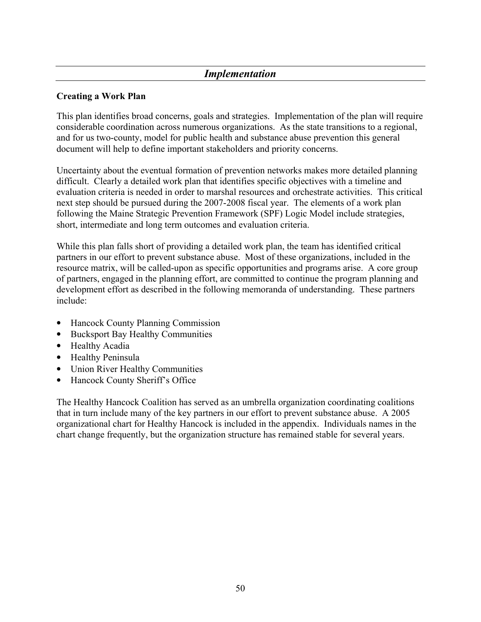## Implementation

#### Creating a Work Plan

This plan identifies broad concerns, goals and strategies. Implementation of the plan will require considerable coordination across numerous organizations. As the state transitions to a regional, and for us two-county, model for public health and substance abuse prevention this general document will help to define important stakeholders and priority concerns.

Uncertainty about the eventual formation of prevention networks makes more detailed planning difficult. Clearly a detailed work plan that identifies specific objectives with a timeline and evaluation criteria is needed in order to marshal resources and orchestrate activities. This critical next step should be pursued during the 2007-2008 fiscal year. The elements of a work plan following the Maine Strategic Prevention Framework (SPF) Logic Model include strategies, short, intermediate and long term outcomes and evaluation criteria.

While this plan falls short of providing a detailed work plan, the team has identified critical partners in our effort to prevent substance abuse. Most of these organizations, included in the resource matrix, will be called-upon as specific opportunities and programs arise. A core group of partners, engaged in the planning effort, are committed to continue the program planning and development effort as described in the following memoranda of understanding. These partners include:

- Hancock County Planning Commission
- Bucksport Bay Healthy Communities
- Healthy Acadia
- Healthy Peninsula
- Union River Healthy Communities
- Hancock County Sheriff's Office

The Healthy Hancock Coalition has served as an umbrella organization coordinating coalitions that in turn include many of the key partners in our effort to prevent substance abuse. A 2005 organizational chart for Healthy Hancock is included in the appendix. Individuals names in the chart change frequently, but the organization structure has remained stable for several years.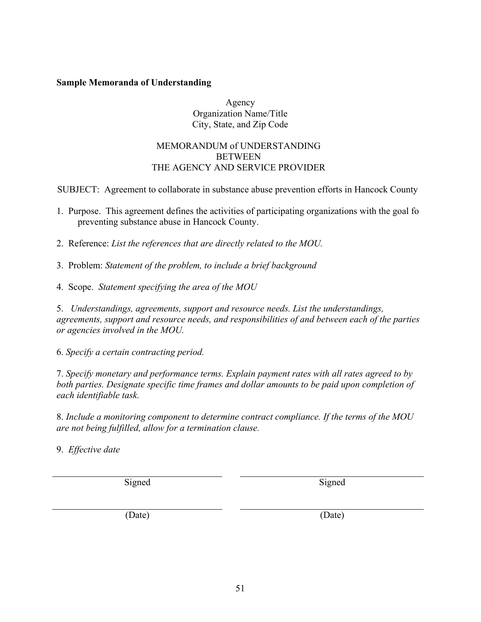### Sample Memoranda of Understanding

#### Agency Organization Name/Title City, State, and Zip Code

#### MEMORANDUM of UNDERSTANDING **BETWEEN** THE AGENCY AND SERVICE PROVIDER

SUBJECT: Agreement to collaborate in substance abuse prevention efforts in Hancock County

- 1. Purpose. This agreement defines the activities of participating organizations with the goal fo preventing substance abuse in Hancock County.
- 2. Reference: List the references that are directly related to the MOU.
- 3. Problem: Statement of the problem, to include a brief background
- 4. Scope. Statement specifying the area of the MOU

5. Understandings, agreements, support and resource needs. List the understandings, agreements, support and resource needs, and responsibilities of and between each of the parties or agencies involved in the MOU.

6. Specify a certain contracting period.

7. Specify monetary and performance terms. Explain payment rates with all rates agreed to by both parties. Designate specific time frames and dollar amounts to be paid upon completion of each identifiable task.

8. Include a monitoring component to determine contract compliance. If the terms of the MOU are not being fulfilled, allow for a termination clause.

9. Effective date

Signed Signed Signed

(Date) (Date)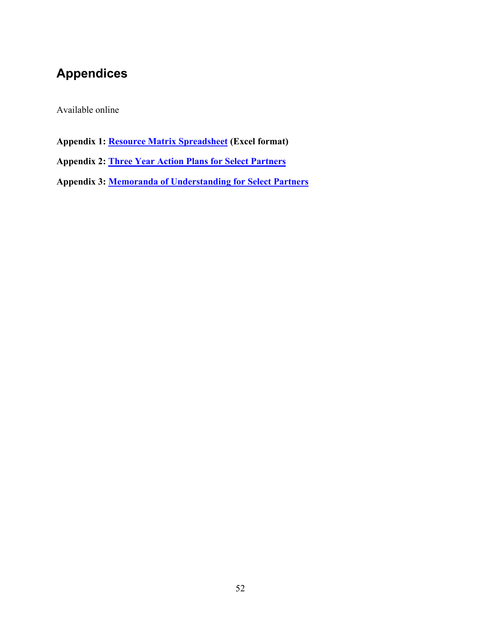# Appendices

Available online

Appendix 1: **Resource Matrix Spreadsheet** (Excel format)

Appendix 2: Three Year Action Plans for Select Partners

Appendix 3: Memoranda of Understanding for Select Partners